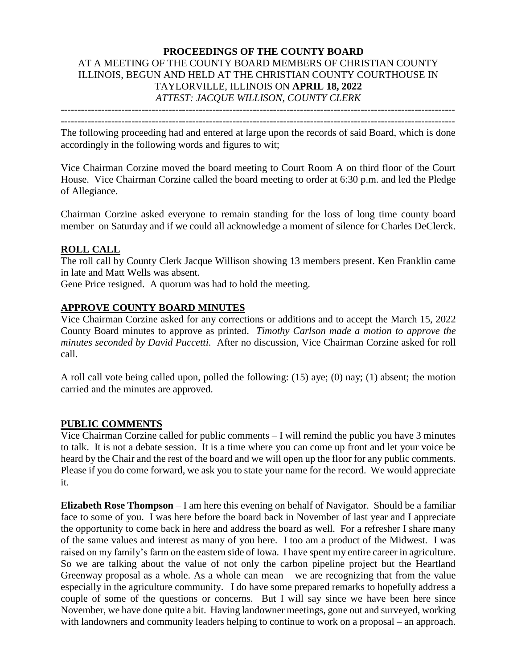## **PROCEEDINGS OF THE COUNTY BOARD** AT A MEETING OF THE COUNTY BOARD MEMBERS OF CHRISTIAN COUNTY ILLINOIS, BEGUN AND HELD AT THE CHRISTIAN COUNTY COURTHOUSE IN TAYLORVILLE, ILLINOIS ON **APRIL 18, 2022** *ATTEST: JACQUE WILLISON, COUNTY CLERK*

--------------------------------------------------------------------------------------------------------------------- ---------------------------------------------------------------------------------------------------------------------

The following proceeding had and entered at large upon the records of said Board, which is done accordingly in the following words and figures to wit;

Vice Chairman Corzine moved the board meeting to Court Room A on third floor of the Court House. Vice Chairman Corzine called the board meeting to order at 6:30 p.m. and led the Pledge of Allegiance.

Chairman Corzine asked everyone to remain standing for the loss of long time county board member on Saturday and if we could all acknowledge a moment of silence for Charles DeClerck.

#### **ROLL CALL**

The roll call by County Clerk Jacque Willison showing 13 members present. Ken Franklin came in late and Matt Wells was absent.

Gene Price resigned. A quorum was had to hold the meeting.

#### **APPROVE COUNTY BOARD MINUTES**

Vice Chairman Corzine asked for any corrections or additions and to accept the March 15, 2022 County Board minutes to approve as printed. *Timothy Carlson made a motion to approve the minutes seconded by David Puccetti.* After no discussion, Vice Chairman Corzine asked for roll call.

A roll call vote being called upon, polled the following: (15) aye; (0) nay; (1) absent; the motion carried and the minutes are approved.

#### **PUBLIC COMMENTS**

Vice Chairman Corzine called for public comments – I will remind the public you have 3 minutes to talk. It is not a debate session. It is a time where you can come up front and let your voice be heard by the Chair and the rest of the board and we will open up the floor for any public comments. Please if you do come forward, we ask you to state your name for the record. We would appreciate it.

**Elizabeth Rose Thompson** – I am here this evening on behalf of Navigator. Should be a familiar face to some of you. I was here before the board back in November of last year and I appreciate the opportunity to come back in here and address the board as well. For a refresher I share many of the same values and interest as many of you here. I too am a product of the Midwest. I was raised on my family's farm on the eastern side of Iowa. I have spent my entire career in agriculture. So we are talking about the value of not only the carbon pipeline project but the Heartland Greenway proposal as a whole. As a whole can mean – we are recognizing that from the value especially in the agriculture community. I do have some prepared remarks to hopefully address a couple of some of the questions or concerns. But I will say since we have been here since November, we have done quite a bit. Having landowner meetings, gone out and surveyed, working with landowners and community leaders helping to continue to work on a proposal – an approach.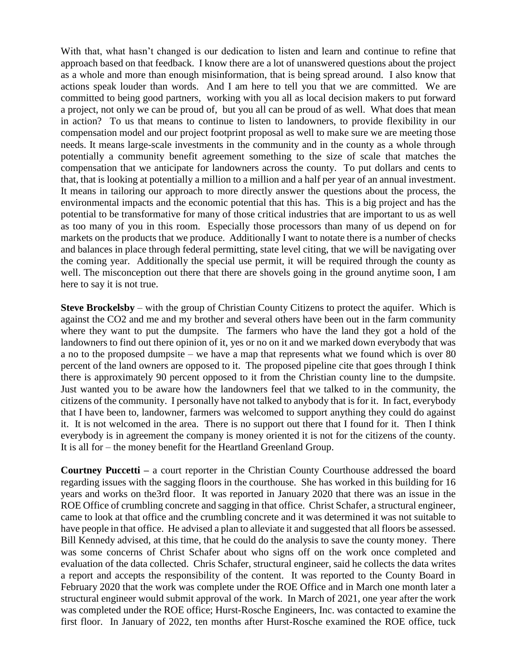With that, what hasn't changed is our dedication to listen and learn and continue to refine that approach based on that feedback. I know there are a lot of unanswered questions about the project as a whole and more than enough misinformation, that is being spread around. I also know that actions speak louder than words. And I am here to tell you that we are committed. We are committed to being good partners, working with you all as local decision makers to put forward a project, not only we can be proud of, but you all can be proud of as well. What does that mean in action? To us that means to continue to listen to landowners, to provide flexibility in our compensation model and our project footprint proposal as well to make sure we are meeting those needs. It means large-scale investments in the community and in the county as a whole through potentially a community benefit agreement something to the size of scale that matches the compensation that we anticipate for landowners across the county. To put dollars and cents to that, that is looking at potentially a million to a million and a half per year of an annual investment. It means in tailoring our approach to more directly answer the questions about the process, the environmental impacts and the economic potential that this has. This is a big project and has the potential to be transformative for many of those critical industries that are important to us as well as too many of you in this room. Especially those processors than many of us depend on for markets on the products that we produce. Additionally I want to notate there is a number of checks and balances in place through federal permitting, state level citing, that we will be navigating over the coming year. Additionally the special use permit, it will be required through the county as well. The misconception out there that there are shovels going in the ground anytime soon, I am here to say it is not true.

**Steve Brockelsby** – with the group of Christian County Citizens to protect the aquifer. Which is against the CO2 and me and my brother and several others have been out in the farm community where they want to put the dumpsite. The farmers who have the land they got a hold of the landowners to find out there opinion of it, yes or no on it and we marked down everybody that was a no to the proposed dumpsite – we have a map that represents what we found which is over 80 percent of the land owners are opposed to it. The proposed pipeline cite that goes through I think there is approximately 90 percent opposed to it from the Christian county line to the dumpsite. Just wanted you to be aware how the landowners feel that we talked to in the community, the citizens of the community. I personally have not talked to anybody that is for it. In fact, everybody that I have been to, landowner, farmers was welcomed to support anything they could do against it. It is not welcomed in the area. There is no support out there that I found for it. Then I think everybody is in agreement the company is money oriented it is not for the citizens of the county. It is all for – the money benefit for the Heartland Greenland Group.

**Courtney Puccetti –** a court reporter in the Christian County Courthouse addressed the board regarding issues with the sagging floors in the courthouse. She has worked in this building for 16 years and works on the3rd floor. It was reported in January 2020 that there was an issue in the ROE Office of crumbling concrete and sagging in that office. Christ Schafer, a structural engineer, came to look at that office and the crumbling concrete and it was determined it was not suitable to have people in that office. He advised a plan to alleviate it and suggested that all floors be assessed. Bill Kennedy advised, at this time, that he could do the analysis to save the county money. There was some concerns of Christ Schafer about who signs off on the work once completed and evaluation of the data collected. Chris Schafer, structural engineer, said he collects the data writes a report and accepts the responsibility of the content. It was reported to the County Board in February 2020 that the work was complete under the ROE Office and in March one month later a structural engineer would submit approval of the work. In March of 2021, one year after the work was completed under the ROE office; Hurst-Rosche Engineers, Inc. was contacted to examine the first floor. In January of 2022, ten months after Hurst-Rosche examined the ROE office, tuck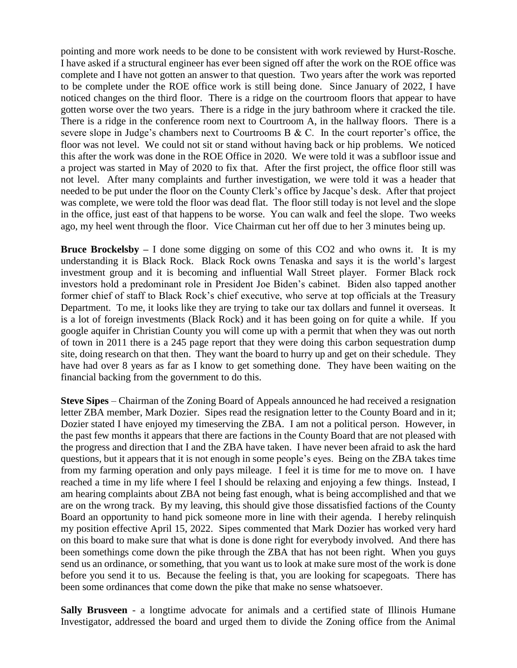pointing and more work needs to be done to be consistent with work reviewed by Hurst-Rosche. I have asked if a structural engineer has ever been signed off after the work on the ROE office was complete and I have not gotten an answer to that question. Two years after the work was reported to be complete under the ROE office work is still being done. Since January of 2022, I have noticed changes on the third floor. There is a ridge on the courtroom floors that appear to have gotten worse over the two years. There is a ridge in the jury bathroom where it cracked the tile. There is a ridge in the conference room next to Courtroom A, in the hallway floors. There is a severe slope in Judge's chambers next to Courtrooms B & C. In the court reporter's office, the floor was not level. We could not sit or stand without having back or hip problems. We noticed this after the work was done in the ROE Office in 2020. We were told it was a subfloor issue and a project was started in May of 2020 to fix that. After the first project, the office floor still was not level. After many complaints and further investigation, we were told it was a header that needed to be put under the floor on the County Clerk's office by Jacque's desk. After that project was complete, we were told the floor was dead flat. The floor still today is not level and the slope in the office, just east of that happens to be worse. You can walk and feel the slope. Two weeks ago, my heel went through the floor. Vice Chairman cut her off due to her 3 minutes being up.

**Bruce Brockelsby –** I done some digging on some of this CO2 and who owns it. It is my understanding it is Black Rock. Black Rock owns Tenaska and says it is the world's largest investment group and it is becoming and influential Wall Street player. Former Black rock investors hold a predominant role in President Joe Biden's cabinet. Biden also tapped another former chief of staff to Black Rock's chief executive, who serve at top officials at the Treasury Department. To me, it looks like they are trying to take our tax dollars and funnel it overseas. It is a lot of foreign investments (Black Rock) and it has been going on for quite a while. If you google aquifer in Christian County you will come up with a permit that when they was out north of town in 2011 there is a 245 page report that they were doing this carbon sequestration dump site, doing research on that then. They want the board to hurry up and get on their schedule. They have had over 8 years as far as I know to get something done. They have been waiting on the financial backing from the government to do this.

**Steve Sipes** – Chairman of the Zoning Board of Appeals announced he had received a resignation letter ZBA member, Mark Dozier. Sipes read the resignation letter to the County Board and in it; Dozier stated I have enjoyed my timeserving the ZBA. I am not a political person. However, in the past few months it appears that there are factions in the County Board that are not pleased with the progress and direction that I and the ZBA have taken. I have never been afraid to ask the hard questions, but it appears that it is not enough in some people's eyes. Being on the ZBA takes time from my farming operation and only pays mileage. I feel it is time for me to move on. I have reached a time in my life where I feel I should be relaxing and enjoying a few things. Instead, I am hearing complaints about ZBA not being fast enough, what is being accomplished and that we are on the wrong track. By my leaving, this should give those dissatisfied factions of the County Board an opportunity to hand pick someone more in line with their agenda. I hereby relinquish my position effective April 15, 2022. Sipes commented that Mark Dozier has worked very hard on this board to make sure that what is done is done right for everybody involved. And there has been somethings come down the pike through the ZBA that has not been right. When you guys send us an ordinance, or something, that you want us to look at make sure most of the work is done before you send it to us. Because the feeling is that, you are looking for scapegoats. There has been some ordinances that come down the pike that make no sense whatsoever.

**Sally Brusveen** - a longtime advocate for animals and a certified state of Illinois Humane Investigator, addressed the board and urged them to divide the Zoning office from the Animal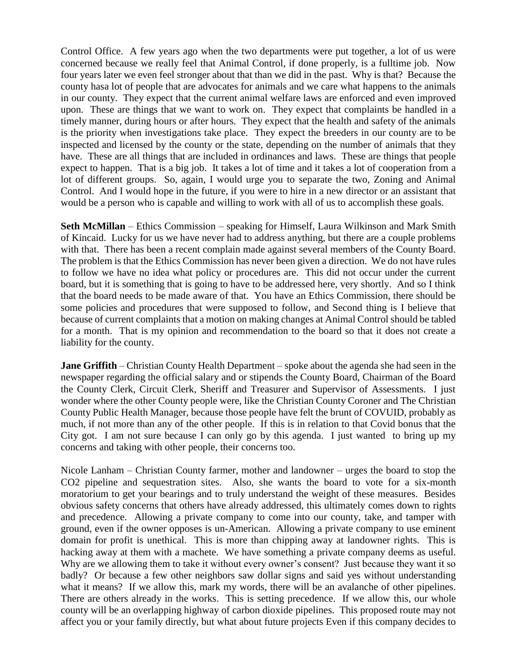Control Office. A few years ago when the two departments were put together, a lot of us were concerned because we really feel that Animal Control, if done properly, is a fulltime job. Now four years later we even feel stronger about that than we did in the past. Why is that? Because the county hasa lot of people that are advocates for animals and we care what happens to the animals in our county. They expect that the current animal welfare laws are enforced and even improved upon. These are things that we want to work on. They expect that complaints be handled in a timely manner, during hours or after hours. They expect that the health and safety of the animals is the priority when investigations take place. They expect the breeders in our county are to be inspected and licensed by the county or the state, depending on the number of animals that they have. These are all things that are included in ordinances and laws. These are things that people expect to happen. That is a big job. It takes a lot of time and it takes a lot of cooperation from a lot of different groups. So, again, I would urge you to separate the two, Zoning and Animal Control. And I would hope in the future, if you were to hire in a new director or an assistant that would be a person who is capable and willing to work with all of us to accomplish these goals.

**Seth McMillan** – Ethics Commission – speaking for Himself, Laura Wilkinson and Mark Smith of Kincaid. Lucky for us we have never had to address anything, but there are a couple problems with that. There has been a recent complain made against several members of the County Board. The problem is that the Ethics Commission has never been given a direction. We do not have rules to follow we have no idea what policy or procedures are. This did not occur under the current board, but it is something that is going to have to be addressed here, very shortly. And so I think that the board needs to be made aware of that. You have an Ethics Commission, there should be some policies and procedures that were supposed to follow, and Second thing is I believe that because of current complaints that a motion on making changes at Animal Control should be tabled for a month. That is my opinion and recommendation to the board so that it does not create a liability for the county.

**Jane Griffith** – Christian County Health Department – spoke about the agenda she had seen in the newspaper regarding the official salary and or stipends the County Board, Chairman of the Board the County Clerk, Circuit Clerk, Sheriff and Treasurer and Supervisor of Assessments. I just wonder where the other County people were, like the Christian County Coroner and The Christian County Public Health Manager, because those people have felt the brunt of COVUID, probably as much, if not more than any of the other people. If this is in relation to that Covid bonus that the City got. I am not sure because I can only go by this agenda. I just wanted to bring up my concerns and taking with other people, their concerns too.

Nicole Lanham – Christian County farmer, mother and landowner – urges the board to stop the CO2 pipeline and sequestration sites. Also, she wants the board to vote for a six-month moratorium to get your bearings and to truly understand the weight of these measures. Besides obvious safety concerns that others have already addressed, this ultimately comes down to rights and precedence. Allowing a private company to come into our county, take, and tamper with ground, even if the owner opposes is un-American. Allowing a private company to use eminent domain for profit is unethical. This is more than chipping away at landowner rights. This is hacking away at them with a machete. We have something a private company deems as useful. Why are we allowing them to take it without every owner's consent? Just because they want it so badly? Or because a few other neighbors saw dollar signs and said yes without understanding what it means? If we allow this, mark my words, there will be an avalanche of other pipelines. There are others already in the works. This is setting precedence. If we allow this, our whole county will be an overlapping highway of carbon dioxide pipelines. This proposed route may not affect you or your family directly, but what about future projects Even if this company decides to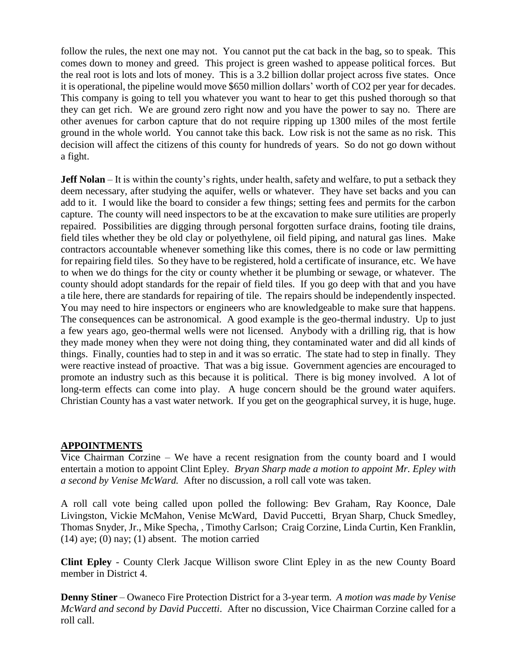follow the rules, the next one may not. You cannot put the cat back in the bag, so to speak. This comes down to money and greed. This project is green washed to appease political forces. But the real root is lots and lots of money. This is a 3.2 billion dollar project across five states. Once it is operational, the pipeline would move \$650 million dollars' worth of CO2 per year for decades. This company is going to tell you whatever you want to hear to get this pushed thorough so that they can get rich. We are ground zero right now and you have the power to say no. There are other avenues for carbon capture that do not require ripping up 1300 miles of the most fertile ground in the whole world. You cannot take this back. Low risk is not the same as no risk. This decision will affect the citizens of this county for hundreds of years. So do not go down without a fight.

**Jeff Nolan** – It is within the county's rights, under health, safety and welfare, to put a setback they deem necessary, after studying the aquifer, wells or whatever. They have set backs and you can add to it. I would like the board to consider a few things; setting fees and permits for the carbon capture. The county will need inspectors to be at the excavation to make sure utilities are properly repaired. Possibilities are digging through personal forgotten surface drains, footing tile drains, field tiles whether they be old clay or polyethylene, oil field piping, and natural gas lines. Make contractors accountable whenever something like this comes, there is no code or law permitting for repairing field tiles. So they have to be registered, hold a certificate of insurance, etc. We have to when we do things for the city or county whether it be plumbing or sewage, or whatever. The county should adopt standards for the repair of field tiles. If you go deep with that and you have a tile here, there are standards for repairing of tile. The repairs should be independently inspected. You may need to hire inspectors or engineers who are knowledgeable to make sure that happens. The consequences can be astronomical. A good example is the geo-thermal industry. Up to just a few years ago, geo-thermal wells were not licensed. Anybody with a drilling rig, that is how they made money when they were not doing thing, they contaminated water and did all kinds of things. Finally, counties had to step in and it was so erratic. The state had to step in finally. They were reactive instead of proactive. That was a big issue. Government agencies are encouraged to promote an industry such as this because it is political. There is big money involved. A lot of long-term effects can come into play. A huge concern should be the ground water aquifers. Christian County has a vast water network. If you get on the geographical survey, it is huge, huge.

#### **APPOINTMENTS**

Vice Chairman Corzine – We have a recent resignation from the county board and I would entertain a motion to appoint Clint Epley. *Bryan Sharp made a motion to appoint Mr. Epley with a second by Venise McWard.* After no discussion, a roll call vote was taken.

A roll call vote being called upon polled the following: Bev Graham, Ray Koonce, Dale Livingston, Vickie McMahon, Venise McWard, David Puccetti, Bryan Sharp, Chuck Smedley, Thomas Snyder, Jr., Mike Specha, , Timothy Carlson; Craig Corzine, Linda Curtin, Ken Franklin,  $(14)$  aye;  $(0)$  nay;  $(1)$  absent. The motion carried

**Clint Epley** - County Clerk Jacque Willison swore Clint Epley in as the new County Board member in District 4.

**Denny Stiner** – Owaneco Fire Protection District for a 3-year term*. A motion was made by Venise McWard and second by David Puccetti.* After no discussion, Vice Chairman Corzine called for a roll call.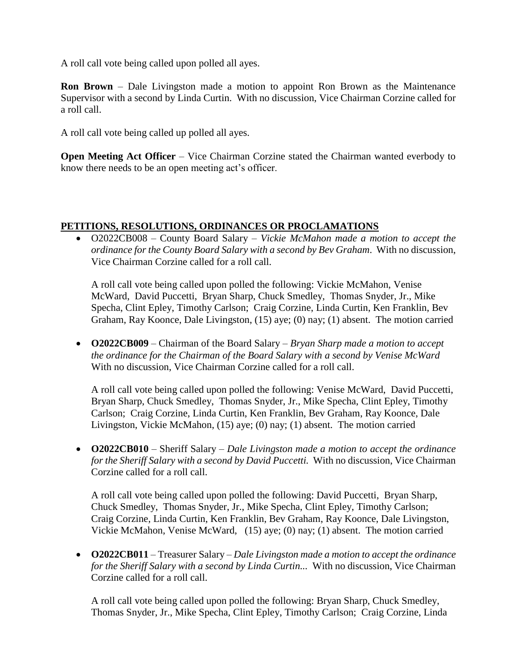A roll call vote being called upon polled all ayes.

**Ron Brown** – Dale Livingston made a motion to appoint Ron Brown as the Maintenance Supervisor with a second by Linda Curtin. With no discussion, Vice Chairman Corzine called for a roll call.

A roll call vote being called up polled all ayes.

**Open Meeting Act Officer** – Vice Chairman Corzine stated the Chairman wanted everbody to know there needs to be an open meeting act's officer.

## **PETITIONS, RESOLUTIONS, ORDINANCES OR PROCLAMATIONS**

 O2022CB008 – County Board Salary – *Vickie McMahon made a motion to accept the ordinance for the County Board Salary with a second by Bev Graham*. With no discussion, Vice Chairman Corzine called for a roll call.

A roll call vote being called upon polled the following: Vickie McMahon, Venise McWard, David Puccetti, Bryan Sharp, Chuck Smedley, Thomas Snyder, Jr., Mike Specha, Clint Epley, Timothy Carlson; Craig Corzine, Linda Curtin, Ken Franklin, Bev Graham, Ray Koonce, Dale Livingston, (15) aye; (0) nay; (1) absent. The motion carried

 **O2022CB009** – Chairman of the Board Salary – *Bryan Sharp made a motion to accept the ordinance for the Chairman of the Board Salary with a second by Venise McWard* With no discussion, Vice Chairman Corzine called for a roll call.

A roll call vote being called upon polled the following: Venise McWard, David Puccetti, Bryan Sharp, Chuck Smedley, Thomas Snyder, Jr., Mike Specha, Clint Epley, Timothy Carlson; Craig Corzine, Linda Curtin, Ken Franklin, Bev Graham, Ray Koonce, Dale Livingston, Vickie McMahon, (15) aye; (0) nay; (1) absent. The motion carried

 **O2022CB010** – Sheriff Salary – *Dale Livingston made a motion to accept the ordinance for the Sheriff Salary with a second by David Puccetti.* With no discussion, Vice Chairman Corzine called for a roll call.

A roll call vote being called upon polled the following: David Puccetti, Bryan Sharp, Chuck Smedley, Thomas Snyder, Jr., Mike Specha, Clint Epley, Timothy Carlson; Craig Corzine, Linda Curtin, Ken Franklin, Bev Graham, Ray Koonce, Dale Livingston, Vickie McMahon, Venise McWard, (15) aye; (0) nay; (1) absent. The motion carried

 **O2022CB011** – Treasurer Salary – *Dale Livingston made a motion to accept the ordinance for the Sheriff Salary with a second by Linda Curtin...* With no discussion, Vice Chairman Corzine called for a roll call.

A roll call vote being called upon polled the following: Bryan Sharp, Chuck Smedley, Thomas Snyder, Jr., Mike Specha, Clint Epley, Timothy Carlson; Craig Corzine, Linda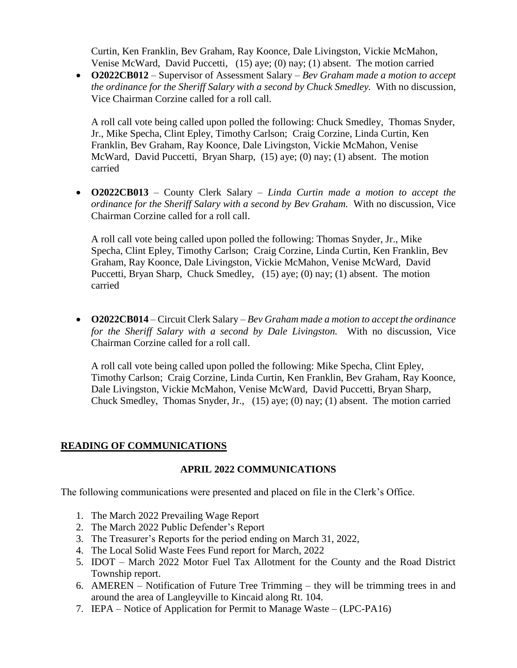Curtin, Ken Franklin, Bev Graham, Ray Koonce, Dale Livingston, Vickie McMahon, Venise McWard, David Puccetti, (15) aye; (0) nay; (1) absent. The motion carried

 **O2022CB012** – Supervisor of Assessment Salary – *Bev Graham made a motion to accept the ordinance for the Sheriff Salary with a second by Chuck Smedley.* With no discussion, Vice Chairman Corzine called for a roll call.

A roll call vote being called upon polled the following: Chuck Smedley, Thomas Snyder, Jr., Mike Specha, Clint Epley, Timothy Carlson; Craig Corzine, Linda Curtin, Ken Franklin, Bev Graham, Ray Koonce, Dale Livingston, Vickie McMahon, Venise McWard, David Puccetti, Bryan Sharp, (15) aye; (0) nay; (1) absent. The motion carried

 **O2022CB013** – County Clerk Salary – *Linda Curtin made a motion to accept the ordinance for the Sheriff Salary with a second by Bev Graham.* With no discussion, Vice Chairman Corzine called for a roll call.

A roll call vote being called upon polled the following: Thomas Snyder, Jr., Mike Specha, Clint Epley, Timothy Carlson; Craig Corzine, Linda Curtin, Ken Franklin, Bev Graham, Ray Koonce, Dale Livingston, Vickie McMahon, Venise McWard, David Puccetti, Bryan Sharp, Chuck Smedley, (15) aye; (0) nay; (1) absent. The motion carried

 **O2022CB014** – Circuit Clerk Salary – *Bev Graham made a motion to accept the ordinance for the Sheriff Salary with a second by Dale Livingston.* With no discussion, Vice Chairman Corzine called for a roll call.

A roll call vote being called upon polled the following: Mike Specha, Clint Epley, Timothy Carlson; Craig Corzine, Linda Curtin, Ken Franklin, Bev Graham, Ray Koonce, Dale Livingston, Vickie McMahon, Venise McWard, David Puccetti, Bryan Sharp, Chuck Smedley, Thomas Snyder, Jr., (15) aye; (0) nay; (1) absent. The motion carried

## **READING OF COMMUNICATIONS**

#### **APRIL 2022 COMMUNICATIONS**

The following communications were presented and placed on file in the Clerk's Office.

- 1. The March 2022 Prevailing Wage Report
- 2. The March 2022 Public Defender's Report
- 3. The Treasurer's Reports for the period ending on March 31, 2022,
- 4. The Local Solid Waste Fees Fund report for March, 2022
- 5. IDOT March 2022 Motor Fuel Tax Allotment for the County and the Road District Township report.
- 6. AMEREN Notification of Future Tree Trimming they will be trimming trees in and around the area of Langleyville to Kincaid along Rt. 104.
- 7. IEPA Notice of Application for Permit to Manage Waste (LPC-PA16)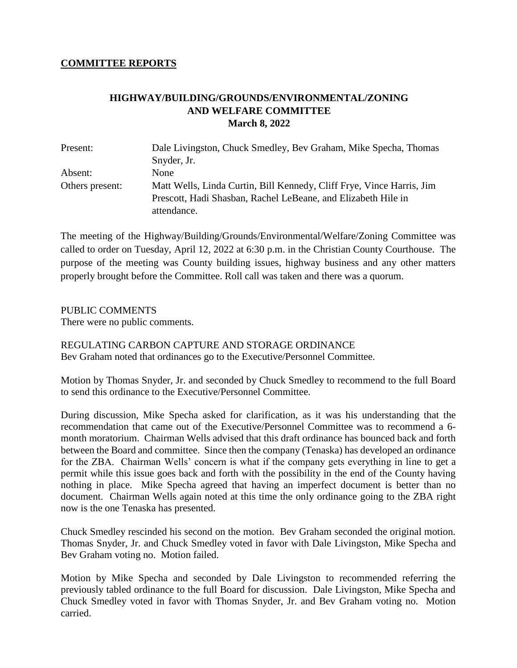## **COMMITTEE REPORTS**

## **HIGHWAY/BUILDING/GROUNDS/ENVIRONMENTAL/ZONING AND WELFARE COMMITTEE March 8, 2022**

| Present:        | Dale Livingston, Chuck Smedley, Bev Graham, Mike Specha, Thomas       |  |  |
|-----------------|-----------------------------------------------------------------------|--|--|
|                 | Snyder, Jr.                                                           |  |  |
| Absent:         | None                                                                  |  |  |
| Others present: | Matt Wells, Linda Curtin, Bill Kennedy, Cliff Frye, Vince Harris, Jim |  |  |
|                 | Prescott, Hadi Shasban, Rachel LeBeane, and Elizabeth Hile in         |  |  |
|                 | attendance.                                                           |  |  |

The meeting of the Highway/Building/Grounds/Environmental/Welfare/Zoning Committee was called to order on Tuesday, April 12, 2022 at 6:30 p.m. in the Christian County Courthouse. The purpose of the meeting was County building issues, highway business and any other matters properly brought before the Committee. Roll call was taken and there was a quorum.

#### PUBLIC COMMENTS

There were no public comments.

REGULATING CARBON CAPTURE AND STORAGE ORDINANCE Bev Graham noted that ordinances go to the Executive/Personnel Committee.

Motion by Thomas Snyder, Jr. and seconded by Chuck Smedley to recommend to the full Board to send this ordinance to the Executive/Personnel Committee.

During discussion, Mike Specha asked for clarification, as it was his understanding that the recommendation that came out of the Executive/Personnel Committee was to recommend a 6 month moratorium. Chairman Wells advised that this draft ordinance has bounced back and forth between the Board and committee. Since then the company (Tenaska) has developed an ordinance for the ZBA. Chairman Wells' concern is what if the company gets everything in line to get a permit while this issue goes back and forth with the possibility in the end of the County having nothing in place. Mike Specha agreed that having an imperfect document is better than no document. Chairman Wells again noted at this time the only ordinance going to the ZBA right now is the one Tenaska has presented.

Chuck Smedley rescinded his second on the motion. Bev Graham seconded the original motion. Thomas Snyder, Jr. and Chuck Smedley voted in favor with Dale Livingston, Mike Specha and Bev Graham voting no. Motion failed.

Motion by Mike Specha and seconded by Dale Livingston to recommended referring the previously tabled ordinance to the full Board for discussion. Dale Livingston, Mike Specha and Chuck Smedley voted in favor with Thomas Snyder, Jr. and Bev Graham voting no. Motion carried.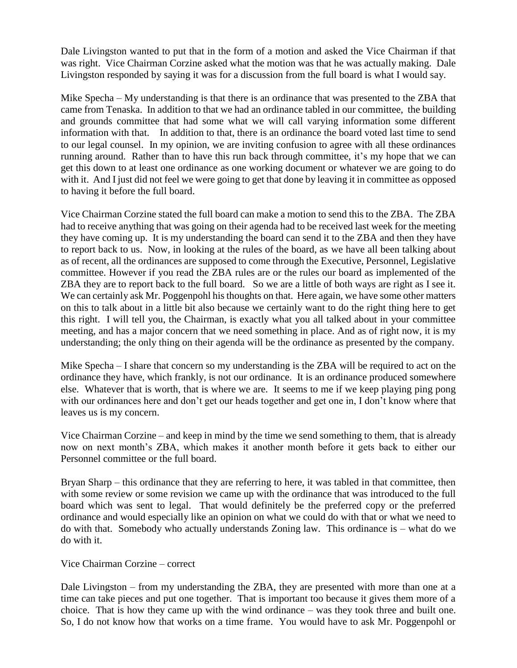Dale Livingston wanted to put that in the form of a motion and asked the Vice Chairman if that was right. Vice Chairman Corzine asked what the motion was that he was actually making. Dale Livingston responded by saying it was for a discussion from the full board is what I would say.

Mike Specha – My understanding is that there is an ordinance that was presented to the ZBA that came from Tenaska. In addition to that we had an ordinance tabled in our committee, the building and grounds committee that had some what we will call varying information some different information with that. In addition to that, there is an ordinance the board voted last time to send to our legal counsel. In my opinion, we are inviting confusion to agree with all these ordinances running around. Rather than to have this run back through committee, it's my hope that we can get this down to at least one ordinance as one working document or whatever we are going to do with it. And I just did not feel we were going to get that done by leaving it in committee as opposed to having it before the full board.

Vice Chairman Corzine stated the full board can make a motion to send this to the ZBA. The ZBA had to receive anything that was going on their agenda had to be received last week for the meeting they have coming up. It is my understanding the board can send it to the ZBA and then they have to report back to us. Now, in looking at the rules of the board, as we have all been talking about as of recent, all the ordinances are supposed to come through the Executive, Personnel, Legislative committee. However if you read the ZBA rules are or the rules our board as implemented of the ZBA they are to report back to the full board. So we are a little of both ways are right as I see it. We can certainly ask Mr. Poggenpohl his thoughts on that. Here again, we have some other matters on this to talk about in a little bit also because we certainly want to do the right thing here to get this right. I will tell you, the Chairman, is exactly what you all talked about in your committee meeting, and has a major concern that we need something in place. And as of right now, it is my understanding; the only thing on their agenda will be the ordinance as presented by the company.

Mike Specha – I share that concern so my understanding is the ZBA will be required to act on the ordinance they have, which frankly, is not our ordinance. It is an ordinance produced somewhere else. Whatever that is worth, that is where we are. It seems to me if we keep playing ping pong with our ordinances here and don't get our heads together and get one in, I don't know where that leaves us is my concern.

Vice Chairman Corzine – and keep in mind by the time we send something to them, that is already now on next month's ZBA, which makes it another month before it gets back to either our Personnel committee or the full board.

Bryan Sharp – this ordinance that they are referring to here, it was tabled in that committee, then with some review or some revision we came up with the ordinance that was introduced to the full board which was sent to legal. That would definitely be the preferred copy or the preferred ordinance and would especially like an opinion on what we could do with that or what we need to do with that. Somebody who actually understands Zoning law. This ordinance is – what do we do with it.

## Vice Chairman Corzine – correct

Dale Livingston – from my understanding the ZBA, they are presented with more than one at a time can take pieces and put one together. That is important too because it gives them more of a choice. That is how they came up with the wind ordinance – was they took three and built one. So, I do not know how that works on a time frame. You would have to ask Mr. Poggenpohl or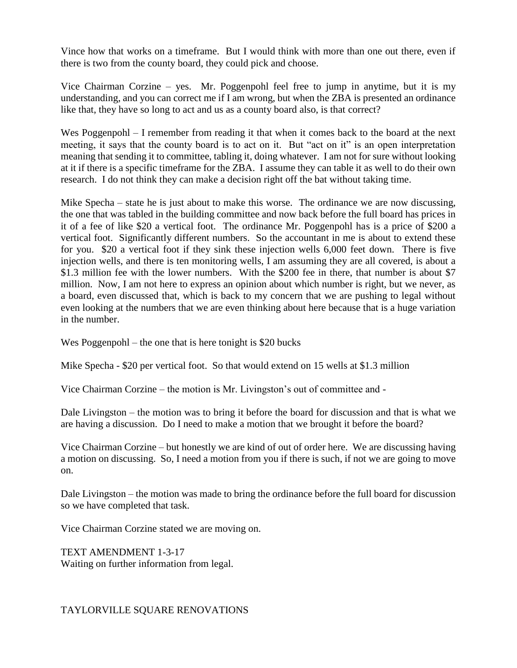Vince how that works on a timeframe. But I would think with more than one out there, even if there is two from the county board, they could pick and choose.

Vice Chairman Corzine – yes. Mr. Poggenpohl feel free to jump in anytime, but it is my understanding, and you can correct me if I am wrong, but when the ZBA is presented an ordinance like that, they have so long to act and us as a county board also, is that correct?

Wes Poggenpohl – I remember from reading it that when it comes back to the board at the next meeting, it says that the county board is to act on it. But "act on it" is an open interpretation meaning that sending it to committee, tabling it, doing whatever. I am not for sure without looking at it if there is a specific timeframe for the ZBA. I assume they can table it as well to do their own research. I do not think they can make a decision right off the bat without taking time.

Mike Specha – state he is just about to make this worse. The ordinance we are now discussing, the one that was tabled in the building committee and now back before the full board has prices in it of a fee of like \$20 a vertical foot. The ordinance Mr. Poggenpohl has is a price of \$200 a vertical foot. Significantly different numbers. So the accountant in me is about to extend these for you. \$20 a vertical foot if they sink these injection wells 6,000 feet down. There is five injection wells, and there is ten monitoring wells, I am assuming they are all covered, is about a \$1.3 million fee with the lower numbers. With the \$200 fee in there, that number is about \$7 million. Now, I am not here to express an opinion about which number is right, but we never, as a board, even discussed that, which is back to my concern that we are pushing to legal without even looking at the numbers that we are even thinking about here because that is a huge variation in the number.

Wes Poggenpohl – the one that is here tonight is \$20 bucks

Mike Specha - \$20 per vertical foot. So that would extend on 15 wells at \$1.3 million

Vice Chairman Corzine – the motion is Mr. Livingston's out of committee and -

Dale Livingston – the motion was to bring it before the board for discussion and that is what we are having a discussion. Do I need to make a motion that we brought it before the board?

Vice Chairman Corzine – but honestly we are kind of out of order here. We are discussing having a motion on discussing. So, I need a motion from you if there is such, if not we are going to move on.

Dale Livingston – the motion was made to bring the ordinance before the full board for discussion so we have completed that task.

Vice Chairman Corzine stated we are moving on.

TEXT AMENDMENT 1-3-17 Waiting on further information from legal.

## TAYLORVILLE SQUARE RENOVATIONS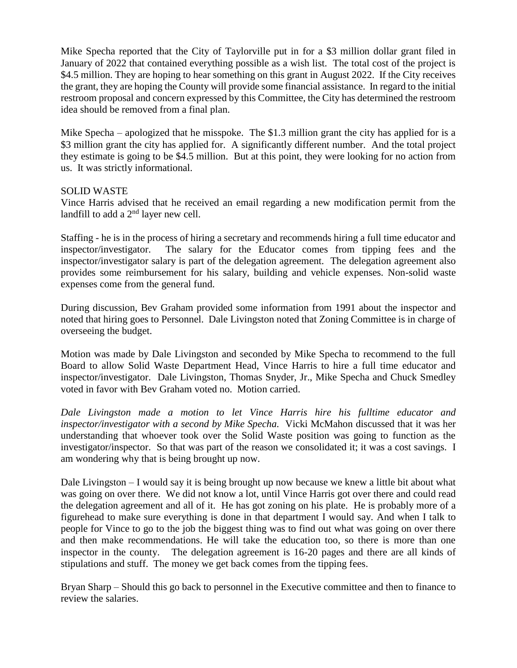Mike Specha reported that the City of Taylorville put in for a \$3 million dollar grant filed in January of 2022 that contained everything possible as a wish list. The total cost of the project is \$4.5 million. They are hoping to hear something on this grant in August 2022. If the City receives the grant, they are hoping the County will provide some financial assistance. In regard to the initial restroom proposal and concern expressed by this Committee, the City has determined the restroom idea should be removed from a final plan.

Mike Specha – apologized that he misspoke. The \$1.3 million grant the city has applied for is a \$3 million grant the city has applied for. A significantly different number. And the total project they estimate is going to be \$4.5 million. But at this point, they were looking for no action from us. It was strictly informational.

#### SOLID WASTE

Vince Harris advised that he received an email regarding a new modification permit from the landfill to add a  $2<sup>nd</sup>$  layer new cell.

Staffing - he is in the process of hiring a secretary and recommends hiring a full time educator and inspector/investigator. The salary for the Educator comes from tipping fees and the inspector/investigator salary is part of the delegation agreement. The delegation agreement also provides some reimbursement for his salary, building and vehicle expenses. Non-solid waste expenses come from the general fund.

During discussion, Bev Graham provided some information from 1991 about the inspector and noted that hiring goes to Personnel. Dale Livingston noted that Zoning Committee is in charge of overseeing the budget.

Motion was made by Dale Livingston and seconded by Mike Specha to recommend to the full Board to allow Solid Waste Department Head, Vince Harris to hire a full time educator and inspector/investigator. Dale Livingston, Thomas Snyder, Jr., Mike Specha and Chuck Smedley voted in favor with Bev Graham voted no. Motion carried.

*Dale Livingston made a motion to let Vince Harris hire his fulltime educator and inspector/investigator with a second by Mike Specha.* Vicki McMahon discussed that it was her understanding that whoever took over the Solid Waste position was going to function as the investigator/inspector. So that was part of the reason we consolidated it; it was a cost savings. I am wondering why that is being brought up now.

Dale Livingston – I would say it is being brought up now because we knew a little bit about what was going on over there. We did not know a lot, until Vince Harris got over there and could read the delegation agreement and all of it. He has got zoning on his plate. He is probably more of a figurehead to make sure everything is done in that department I would say. And when I talk to people for Vince to go to the job the biggest thing was to find out what was going on over there and then make recommendations. He will take the education too, so there is more than one inspector in the county. The delegation agreement is 16-20 pages and there are all kinds of stipulations and stuff. The money we get back comes from the tipping fees.

Bryan Sharp – Should this go back to personnel in the Executive committee and then to finance to review the salaries.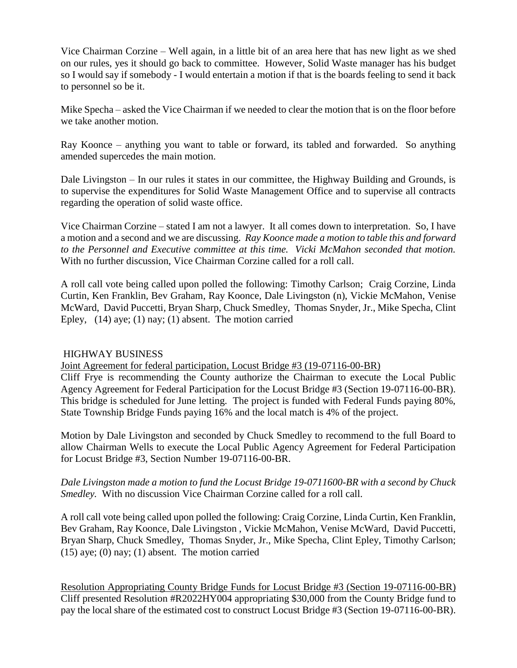Vice Chairman Corzine – Well again, in a little bit of an area here that has new light as we shed on our rules, yes it should go back to committee. However, Solid Waste manager has his budget so I would say if somebody - I would entertain a motion if that is the boards feeling to send it back to personnel so be it.

Mike Specha – asked the Vice Chairman if we needed to clear the motion that is on the floor before we take another motion.

Ray Koonce – anything you want to table or forward, its tabled and forwarded. So anything amended supercedes the main motion.

Dale Livingston – In our rules it states in our committee, the Highway Building and Grounds, is to supervise the expenditures for Solid Waste Management Office and to supervise all contracts regarding the operation of solid waste office.

Vice Chairman Corzine – stated I am not a lawyer. It all comes down to interpretation. So, I have a motion and a second and we are discussing. *Ray Koonce made a motion to table this and forward to the Personnel and Executive committee at this time. Vicki McMahon seconded that motion.*  With no further discussion, Vice Chairman Corzine called for a roll call.

A roll call vote being called upon polled the following: Timothy Carlson; Craig Corzine, Linda Curtin, Ken Franklin, Bev Graham, Ray Koonce, Dale Livingston (n), Vickie McMahon, Venise McWard, David Puccetti, Bryan Sharp, Chuck Smedley, Thomas Snyder, Jr., Mike Specha, Clint Epley,  $(14)$  aye;  $(1)$  nay;  $(1)$  absent. The motion carried

#### HIGHWAY BUSINESS

Joint Agreement for federal participation, Locust Bridge #3 (19-07116-00-BR)

Cliff Frye is recommending the County authorize the Chairman to execute the Local Public Agency Agreement for Federal Participation for the Locust Bridge #3 (Section 19-07116-00-BR). This bridge is scheduled for June letting. The project is funded with Federal Funds paying 80%, State Township Bridge Funds paying 16% and the local match is 4% of the project.

Motion by Dale Livingston and seconded by Chuck Smedley to recommend to the full Board to allow Chairman Wells to execute the Local Public Agency Agreement for Federal Participation for Locust Bridge #3, Section Number 19-07116-00-BR.

*Dale Livingston made a motion to fund the Locust Bridge 19-0711600-BR with a second by Chuck Smedley.* With no discussion Vice Chairman Corzine called for a roll call.

A roll call vote being called upon polled the following: Craig Corzine, Linda Curtin, Ken Franklin, Bev Graham, Ray Koonce, Dale Livingston , Vickie McMahon, Venise McWard, David Puccetti, Bryan Sharp, Chuck Smedley, Thomas Snyder, Jr., Mike Specha, Clint Epley, Timothy Carlson;  $(15)$  aye;  $(0)$  nay;  $(1)$  absent. The motion carried

Resolution Appropriating County Bridge Funds for Locust Bridge #3 (Section 19-07116-00-BR) Cliff presented Resolution #R2022HY004 appropriating \$30,000 from the County Bridge fund to pay the local share of the estimated cost to construct Locust Bridge #3 (Section 19-07116-00-BR).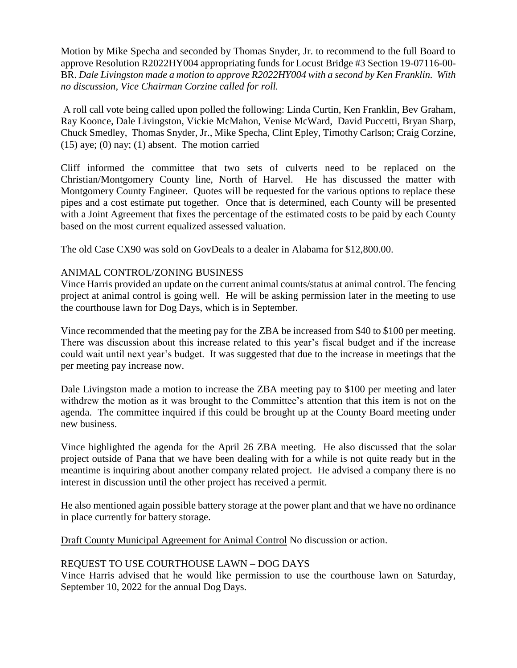Motion by Mike Specha and seconded by Thomas Snyder, Jr. to recommend to the full Board to approve Resolution R2022HY004 appropriating funds for Locust Bridge #3 Section 19-07116-00- BR. *Dale Livingston made a motion to approve R2022HY004 with a second by Ken Franklin. With no discussion, Vice Chairman Corzine called for roll.*

A roll call vote being called upon polled the following: Linda Curtin, Ken Franklin, Bev Graham, Ray Koonce, Dale Livingston, Vickie McMahon, Venise McWard, David Puccetti, Bryan Sharp, Chuck Smedley, Thomas Snyder, Jr., Mike Specha, Clint Epley, Timothy Carlson; Craig Corzine,  $(15)$  aye;  $(0)$  nay;  $(1)$  absent. The motion carried

Cliff informed the committee that two sets of culverts need to be replaced on the Christian/Montgomery County line, North of Harvel. He has discussed the matter with Montgomery County Engineer. Quotes will be requested for the various options to replace these pipes and a cost estimate put together. Once that is determined, each County will be presented with a Joint Agreement that fixes the percentage of the estimated costs to be paid by each County based on the most current equalized assessed valuation.

The old Case CX90 was sold on GovDeals to a dealer in Alabama for \$12,800.00.

## ANIMAL CONTROL/ZONING BUSINESS

Vince Harris provided an update on the current animal counts/status at animal control. The fencing project at animal control is going well. He will be asking permission later in the meeting to use the courthouse lawn for Dog Days, which is in September.

Vince recommended that the meeting pay for the ZBA be increased from \$40 to \$100 per meeting. There was discussion about this increase related to this year's fiscal budget and if the increase could wait until next year's budget. It was suggested that due to the increase in meetings that the per meeting pay increase now.

Dale Livingston made a motion to increase the ZBA meeting pay to \$100 per meeting and later withdrew the motion as it was brought to the Committee's attention that this item is not on the agenda. The committee inquired if this could be brought up at the County Board meeting under new business.

Vince highlighted the agenda for the April 26 ZBA meeting. He also discussed that the solar project outside of Pana that we have been dealing with for a while is not quite ready but in the meantime is inquiring about another company related project. He advised a company there is no interest in discussion until the other project has received a permit.

He also mentioned again possible battery storage at the power plant and that we have no ordinance in place currently for battery storage.

Draft County Municipal Agreement for Animal Control No discussion or action.

## REQUEST TO USE COURTHOUSE LAWN – DOG DAYS

Vince Harris advised that he would like permission to use the courthouse lawn on Saturday, September 10, 2022 for the annual Dog Days.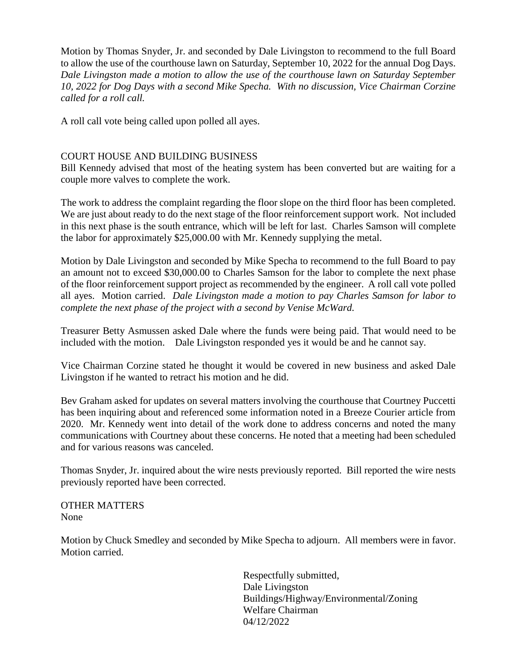Motion by Thomas Snyder, Jr. and seconded by Dale Livingston to recommend to the full Board to allow the use of the courthouse lawn on Saturday, September 10, 2022 for the annual Dog Days. *Dale Livingston made a motion to allow the use of the courthouse lawn on Saturday September 10, 2022 for Dog Days with a second Mike Specha. With no discussion, Vice Chairman Corzine called for a roll call.*

A roll call vote being called upon polled all ayes.

#### COURT HOUSE AND BUILDING BUSINESS

Bill Kennedy advised that most of the heating system has been converted but are waiting for a couple more valves to complete the work.

The work to address the complaint regarding the floor slope on the third floor has been completed. We are just about ready to do the next stage of the floor reinforcement support work. Not included in this next phase is the south entrance, which will be left for last. Charles Samson will complete the labor for approximately \$25,000.00 with Mr. Kennedy supplying the metal.

Motion by Dale Livingston and seconded by Mike Specha to recommend to the full Board to pay an amount not to exceed \$30,000.00 to Charles Samson for the labor to complete the next phase of the floor reinforcement support project as recommended by the engineer. A roll call vote polled all ayes. Motion carried. *Dale Livingston made a motion to pay Charles Samson for labor to complete the next phase of the project with a second by Venise McWard.* 

Treasurer Betty Asmussen asked Dale where the funds were being paid. That would need to be included with the motion. Dale Livingston responded yes it would be and he cannot say.

Vice Chairman Corzine stated he thought it would be covered in new business and asked Dale Livingston if he wanted to retract his motion and he did.

Bev Graham asked for updates on several matters involving the courthouse that Courtney Puccetti has been inquiring about and referenced some information noted in a Breeze Courier article from 2020. Mr. Kennedy went into detail of the work done to address concerns and noted the many communications with Courtney about these concerns. He noted that a meeting had been scheduled and for various reasons was canceled.

Thomas Snyder, Jr. inquired about the wire nests previously reported. Bill reported the wire nests previously reported have been corrected.

OTHER MATTERS None

Motion by Chuck Smedley and seconded by Mike Specha to adjourn. All members were in favor. Motion carried.

> Respectfully submitted, Dale Livingston Buildings/Highway/Environmental/Zoning Welfare Chairman 04/12/2022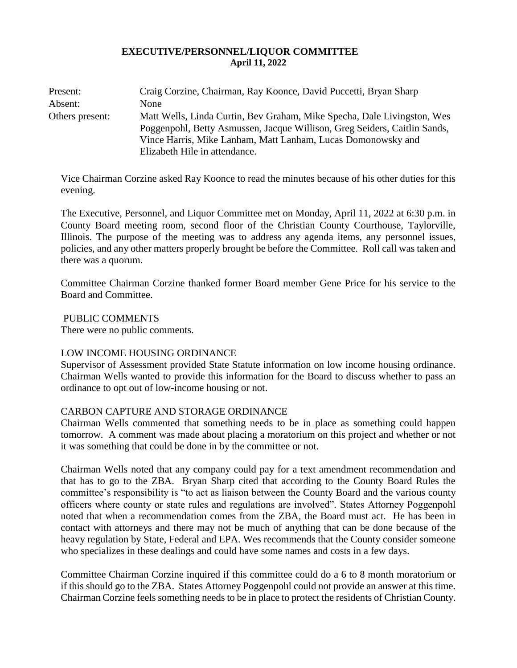#### **EXECUTIVE/PERSONNEL/LIQUOR COMMITTEE April 11, 2022**

| Present:        | Craig Corzine, Chairman, Ray Koonce, David Puccetti, Bryan Sharp                                                                                                                                                                                      |
|-----------------|-------------------------------------------------------------------------------------------------------------------------------------------------------------------------------------------------------------------------------------------------------|
| Absent:         | None                                                                                                                                                                                                                                                  |
| Others present: | Matt Wells, Linda Curtin, Bev Graham, Mike Specha, Dale Livingston, Wes<br>Poggenpohl, Betty Asmussen, Jacque Willison, Greg Seiders, Caitlin Sands,<br>Vince Harris, Mike Lanham, Matt Lanham, Lucas Domonowsky and<br>Elizabeth Hile in attendance. |

Vice Chairman Corzine asked Ray Koonce to read the minutes because of his other duties for this evening.

The Executive, Personnel, and Liquor Committee met on Monday, April 11, 2022 at 6:30 p.m. in County Board meeting room, second floor of the Christian County Courthouse, Taylorville, Illinois. The purpose of the meeting was to address any agenda items, any personnel issues, policies, and any other matters properly brought be before the Committee. Roll call was taken and there was a quorum.

Committee Chairman Corzine thanked former Board member Gene Price for his service to the Board and Committee.

PUBLIC COMMENTS

There were no public comments.

#### LOW INCOME HOUSING ORDINANCE

Supervisor of Assessment provided State Statute information on low income housing ordinance. Chairman Wells wanted to provide this information for the Board to discuss whether to pass an ordinance to opt out of low-income housing or not.

## CARBON CAPTURE AND STORAGE ORDINANCE

Chairman Wells commented that something needs to be in place as something could happen tomorrow. A comment was made about placing a moratorium on this project and whether or not it was something that could be done in by the committee or not.

Chairman Wells noted that any company could pay for a text amendment recommendation and that has to go to the ZBA. Bryan Sharp cited that according to the County Board Rules the committee's responsibility is "to act as liaison between the County Board and the various county officers where county or state rules and regulations are involved". States Attorney Poggenpohl noted that when a recommendation comes from the ZBA, the Board must act. He has been in contact with attorneys and there may not be much of anything that can be done because of the heavy regulation by State, Federal and EPA. Wes recommends that the County consider someone who specializes in these dealings and could have some names and costs in a few days.

Committee Chairman Corzine inquired if this committee could do a 6 to 8 month moratorium or if this should go to the ZBA. States Attorney Poggenpohl could not provide an answer at this time. Chairman Corzine feels something needs to be in place to protect the residents of Christian County.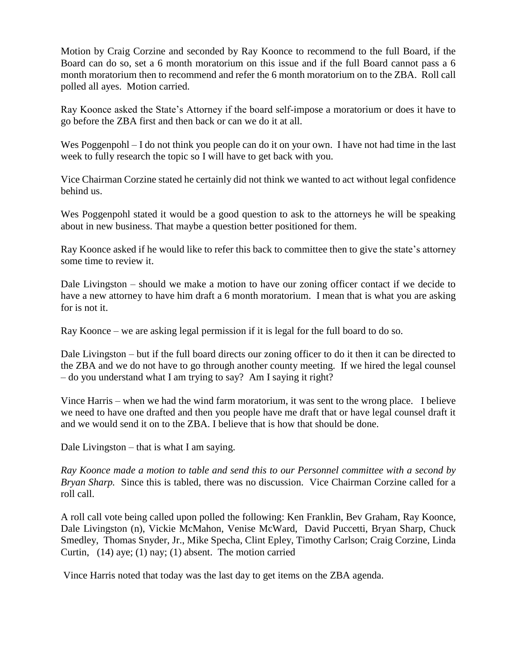Motion by Craig Corzine and seconded by Ray Koonce to recommend to the full Board, if the Board can do so, set a 6 month moratorium on this issue and if the full Board cannot pass a 6 month moratorium then to recommend and refer the 6 month moratorium on to the ZBA. Roll call polled all ayes. Motion carried.

Ray Koonce asked the State's Attorney if the board self-impose a moratorium or does it have to go before the ZBA first and then back or can we do it at all.

Wes Poggenpohl – I do not think you people can do it on your own. I have not had time in the last week to fully research the topic so I will have to get back with you.

Vice Chairman Corzine stated he certainly did not think we wanted to act without legal confidence behind us.

Wes Poggenpohl stated it would be a good question to ask to the attorneys he will be speaking about in new business. That maybe a question better positioned for them.

Ray Koonce asked if he would like to refer this back to committee then to give the state's attorney some time to review it.

Dale Livingston – should we make a motion to have our zoning officer contact if we decide to have a new attorney to have him draft a 6 month moratorium. I mean that is what you are asking for is not it.

Ray Koonce – we are asking legal permission if it is legal for the full board to do so.

Dale Livingston – but if the full board directs our zoning officer to do it then it can be directed to the ZBA and we do not have to go through another county meeting. If we hired the legal counsel – do you understand what I am trying to say? Am I saying it right?

Vince Harris – when we had the wind farm moratorium, it was sent to the wrong place. I believe we need to have one drafted and then you people have me draft that or have legal counsel draft it and we would send it on to the ZBA. I believe that is how that should be done.

Dale Livingston – that is what I am saying.

*Ray Koonce made a motion to table and send this to our Personnel committee with a second by Bryan Sharp.* Since this is tabled, there was no discussion. Vice Chairman Corzine called for a roll call.

A roll call vote being called upon polled the following: Ken Franklin, Bev Graham, Ray Koonce, Dale Livingston (n), Vickie McMahon, Venise McWard, David Puccetti, Bryan Sharp, Chuck Smedley, Thomas Snyder, Jr., Mike Specha, Clint Epley, Timothy Carlson; Craig Corzine, Linda Curtin, (14) aye; (1) nay; (1) absent. The motion carried

Vince Harris noted that today was the last day to get items on the ZBA agenda.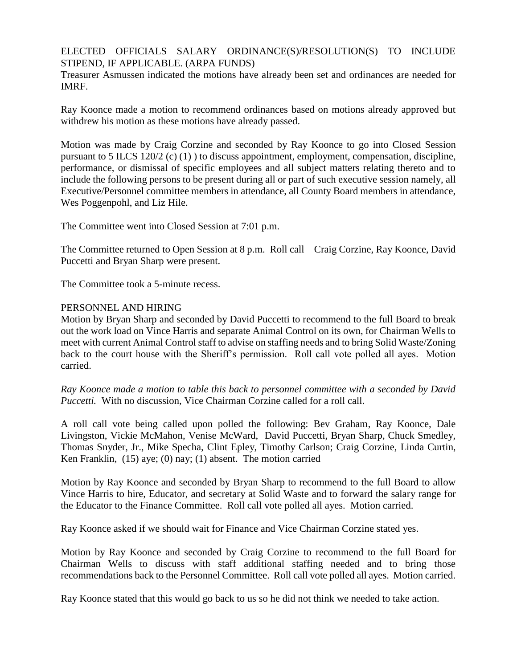#### ELECTED OFFICIALS SALARY ORDINANCE(S)/RESOLUTION(S) TO INCLUDE STIPEND, IF APPLICABLE. (ARPA FUNDS)

Treasurer Asmussen indicated the motions have already been set and ordinances are needed for IMRF.

Ray Koonce made a motion to recommend ordinances based on motions already approved but withdrew his motion as these motions have already passed.

Motion was made by Craig Corzine and seconded by Ray Koonce to go into Closed Session pursuant to 5 ILCS 120/2 (c) (1) ) to discuss appointment, employment, compensation, discipline, performance, or dismissal of specific employees and all subject matters relating thereto and to include the following persons to be present during all or part of such executive session namely, all Executive/Personnel committee members in attendance, all County Board members in attendance, Wes Poggenpohl, and Liz Hile.

The Committee went into Closed Session at 7:01 p.m.

The Committee returned to Open Session at 8 p.m. Roll call – Craig Corzine, Ray Koonce, David Puccetti and Bryan Sharp were present.

The Committee took a 5-minute recess.

#### PERSONNEL AND HIRING

Motion by Bryan Sharp and seconded by David Puccetti to recommend to the full Board to break out the work load on Vince Harris and separate Animal Control on its own, for Chairman Wells to meet with current Animal Control staff to advise on staffing needs and to bring Solid Waste/Zoning back to the court house with the Sheriff's permission. Roll call vote polled all ayes. Motion carried.

*Ray Koonce made a motion to table this back to personnel committee with a seconded by David Puccetti.* With no discussion, Vice Chairman Corzine called for a roll call.

A roll call vote being called upon polled the following: Bev Graham, Ray Koonce, Dale Livingston, Vickie McMahon, Venise McWard, David Puccetti, Bryan Sharp, Chuck Smedley, Thomas Snyder, Jr., Mike Specha, Clint Epley, Timothy Carlson; Craig Corzine, Linda Curtin, Ken Franklin, (15) aye; (0) nay; (1) absent. The motion carried

Motion by Ray Koonce and seconded by Bryan Sharp to recommend to the full Board to allow Vince Harris to hire, Educator, and secretary at Solid Waste and to forward the salary range for the Educator to the Finance Committee. Roll call vote polled all ayes. Motion carried.

Ray Koonce asked if we should wait for Finance and Vice Chairman Corzine stated yes.

Motion by Ray Koonce and seconded by Craig Corzine to recommend to the full Board for Chairman Wells to discuss with staff additional staffing needed and to bring those recommendations back to the Personnel Committee. Roll call vote polled all ayes. Motion carried.

Ray Koonce stated that this would go back to us so he did not think we needed to take action.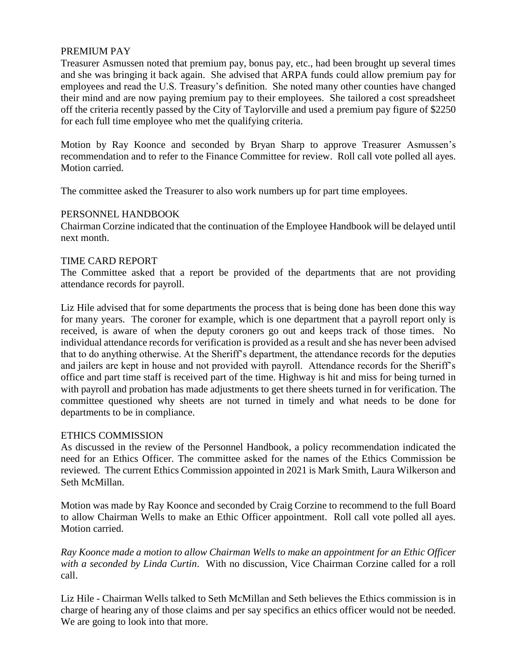## PREMIUM PAY

Treasurer Asmussen noted that premium pay, bonus pay, etc., had been brought up several times and she was bringing it back again. She advised that ARPA funds could allow premium pay for employees and read the U.S. Treasury's definition. She noted many other counties have changed their mind and are now paying premium pay to their employees. She tailored a cost spreadsheet off the criteria recently passed by the City of Taylorville and used a premium pay figure of \$2250 for each full time employee who met the qualifying criteria.

Motion by Ray Koonce and seconded by Bryan Sharp to approve Treasurer Asmussen's recommendation and to refer to the Finance Committee for review. Roll call vote polled all ayes. Motion carried.

The committee asked the Treasurer to also work numbers up for part time employees.

#### PERSONNEL HANDBOOK

Chairman Corzine indicated that the continuation of the Employee Handbook will be delayed until next month.

## TIME CARD REPORT

The Committee asked that a report be provided of the departments that are not providing attendance records for payroll.

Liz Hile advised that for some departments the process that is being done has been done this way for many years. The coroner for example, which is one department that a payroll report only is received, is aware of when the deputy coroners go out and keeps track of those times. No individual attendance records for verification is provided as a result and she has never been advised that to do anything otherwise. At the Sheriff's department, the attendance records for the deputies and jailers are kept in house and not provided with payroll. Attendance records for the Sheriff's office and part time staff is received part of the time. Highway is hit and miss for being turned in with payroll and probation has made adjustments to get there sheets turned in for verification. The committee questioned why sheets are not turned in timely and what needs to be done for departments to be in compliance.

#### ETHICS COMMISSION

As discussed in the review of the Personnel Handbook, a policy recommendation indicated the need for an Ethics Officer. The committee asked for the names of the Ethics Commission be reviewed. The current Ethics Commission appointed in 2021 is Mark Smith, Laura Wilkerson and Seth McMillan.

Motion was made by Ray Koonce and seconded by Craig Corzine to recommend to the full Board to allow Chairman Wells to make an Ethic Officer appointment. Roll call vote polled all ayes. Motion carried.

*Ray Koonce made a motion to allow Chairman Wells to make an appointment for an Ethic Officer with a seconded by Linda Curtin*. With no discussion, Vice Chairman Corzine called for a roll call.

Liz Hile - Chairman Wells talked to Seth McMillan and Seth believes the Ethics commission is in charge of hearing any of those claims and per say specifics an ethics officer would not be needed. We are going to look into that more.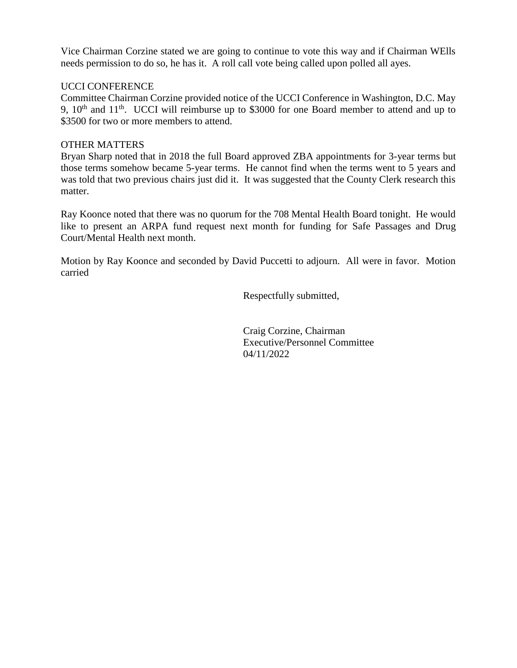Vice Chairman Corzine stated we are going to continue to vote this way and if Chairman WElls needs permission to do so, he has it. A roll call vote being called upon polled all ayes.

#### UCCI CONFERENCE

Committee Chairman Corzine provided notice of the UCCI Conference in Washington, D.C. May 9,  $10<sup>th</sup>$  and  $11<sup>th</sup>$ . UCCI will reimburse up to \$3000 for one Board member to attend and up to \$3500 for two or more members to attend.

#### OTHER MATTERS

Bryan Sharp noted that in 2018 the full Board approved ZBA appointments for 3-year terms but those terms somehow became 5-year terms. He cannot find when the terms went to 5 years and was told that two previous chairs just did it. It was suggested that the County Clerk research this matter.

Ray Koonce noted that there was no quorum for the 708 Mental Health Board tonight. He would like to present an ARPA fund request next month for funding for Safe Passages and Drug Court/Mental Health next month.

Motion by Ray Koonce and seconded by David Puccetti to adjourn. All were in favor. Motion carried

Respectfully submitted,

Craig Corzine, Chairman Executive/Personnel Committee 04/11/2022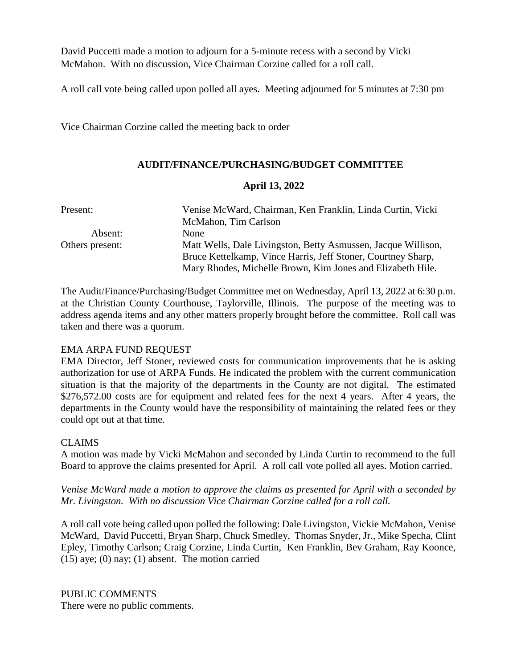David Puccetti made a motion to adjourn for a 5-minute recess with a second by Vicki McMahon. With no discussion, Vice Chairman Corzine called for a roll call.

A roll call vote being called upon polled all ayes. Meeting adjourned for 5 minutes at 7:30 pm

Vice Chairman Corzine called the meeting back to order

## **AUDIT/FINANCE/PURCHASING/BUDGET COMMITTEE**

#### **April 13, 2022**

| Present:        | Venise McWard, Chairman, Ken Franklin, Linda Curtin, Vicki    |  |  |
|-----------------|---------------------------------------------------------------|--|--|
|                 | McMahon, Tim Carlson                                          |  |  |
| Absent:         | <b>None</b>                                                   |  |  |
| Others present: | Matt Wells, Dale Livingston, Betty Asmussen, Jacque Willison, |  |  |
|                 | Bruce Kettelkamp, Vince Harris, Jeff Stoner, Courtney Sharp,  |  |  |
|                 | Mary Rhodes, Michelle Brown, Kim Jones and Elizabeth Hile.    |  |  |

The Audit/Finance/Purchasing/Budget Committee met on Wednesday, April 13, 2022 at 6:30 p.m. at the Christian County Courthouse, Taylorville, Illinois. The purpose of the meeting was to address agenda items and any other matters properly brought before the committee. Roll call was taken and there was a quorum.

#### EMA ARPA FUND REQUEST

EMA Director, Jeff Stoner, reviewed costs for communication improvements that he is asking authorization for use of ARPA Funds. He indicated the problem with the current communication situation is that the majority of the departments in the County are not digital. The estimated \$276,572.00 costs are for equipment and related fees for the next 4 years. After 4 years, the departments in the County would have the responsibility of maintaining the related fees or they could opt out at that time.

#### CLAIMS

A motion was made by Vicki McMahon and seconded by Linda Curtin to recommend to the full Board to approve the claims presented for April. A roll call vote polled all ayes. Motion carried.

*Venise McWard made a motion to approve the claims as presented for April with a seconded by Mr. Livingston. With no discussion Vice Chairman Corzine called for a roll call.* 

A roll call vote being called upon polled the following: Dale Livingston, Vickie McMahon, Venise McWard, David Puccetti, Bryan Sharp, Chuck Smedley, Thomas Snyder, Jr., Mike Specha, Clint Epley, Timothy Carlson; Craig Corzine, Linda Curtin, Ken Franklin, Bev Graham, Ray Koonce,  $(15)$  aye;  $(0)$  nay;  $(1)$  absent. The motion carried

PUBLIC COMMENTS There were no public comments.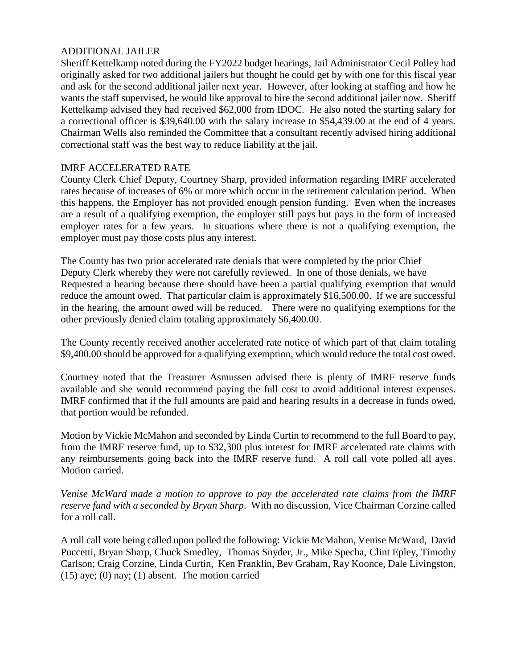## ADDITIONAL JAILER

Sheriff Kettelkamp noted during the FY2022 budget hearings, Jail Administrator Cecil Polley had originally asked for two additional jailers but thought he could get by with one for this fiscal year and ask for the second additional jailer next year. However, after looking at staffing and how he wants the staff supervised, he would like approval to hire the second additional jailer now. Sheriff Kettelkamp advised they had received \$62,000 from IDOC. He also noted the starting salary for a correctional officer is \$39,640.00 with the salary increase to \$54,439.00 at the end of 4 years. Chairman Wells also reminded the Committee that a consultant recently advised hiring additional correctional staff was the best way to reduce liability at the jail.

#### IMRF ACCELERATED RATE

County Clerk Chief Deputy, Courtney Sharp, provided information regarding IMRF accelerated rates because of increases of 6% or more which occur in the retirement calculation period. When this happens, the Employer has not provided enough pension funding. Even when the increases are a result of a qualifying exemption, the employer still pays but pays in the form of increased employer rates for a few years. In situations where there is not a qualifying exemption, the employer must pay those costs plus any interest.

The County has two prior accelerated rate denials that were completed by the prior Chief Deputy Clerk whereby they were not carefully reviewed. In one of those denials, we have Requested a hearing because there should have been a partial qualifying exemption that would reduce the amount owed. That particular claim is approximately \$16,500.00. If we are successful in the hearing, the amount owed will be reduced. There were no qualifying exemptions for the other previously denied claim totaling approximately \$6,400.00.

The County recently received another accelerated rate notice of which part of that claim totaling \$9,400.00 should be approved for a qualifying exemption, which would reduce the total cost owed.

Courtney noted that the Treasurer Asmussen advised there is plenty of IMRF reserve funds available and she would recommend paying the full cost to avoid additional interest expenses. IMRF confirmed that if the full amounts are paid and hearing results in a decrease in funds owed, that portion would be refunded.

Motion by Vickie McMahon and seconded by Linda Curtin to recommend to the full Board to pay, from the IMRF reserve fund, up to \$32,300 plus interest for IMRF accelerated rate claims with any reimbursements going back into the IMRF reserve fund. A roll call vote polled all ayes. Motion carried.

*Venise McWard made a motion to approve to pay the accelerated rate claims from the IMRF reserve fund with a seconded by Bryan Sharp*. With no discussion, Vice Chairman Corzine called for a roll call.

A roll call vote being called upon polled the following: Vickie McMahon, Venise McWard, David Puccetti, Bryan Sharp, Chuck Smedley, Thomas Snyder, Jr., Mike Specha, Clint Epley, Timothy Carlson; Craig Corzine, Linda Curtin, Ken Franklin, Bev Graham, Ray Koonce, Dale Livingston,  $(15)$  aye;  $(0)$  nay;  $(1)$  absent. The motion carried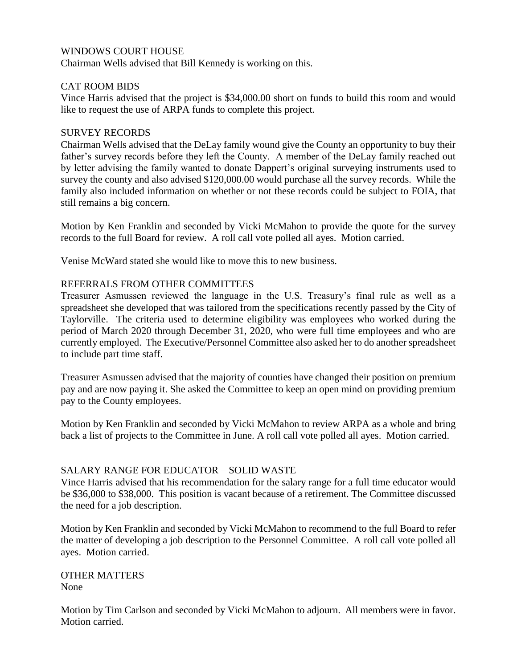## WINDOWS COURT HOUSE

Chairman Wells advised that Bill Kennedy is working on this.

## CAT ROOM BIDS

Vince Harris advised that the project is \$34,000.00 short on funds to build this room and would like to request the use of ARPA funds to complete this project.

#### SURVEY RECORDS

Chairman Wells advised that the DeLay family wound give the County an opportunity to buy their father's survey records before they left the County. A member of the DeLay family reached out by letter advising the family wanted to donate Dappert's original surveying instruments used to survey the county and also advised \$120,000.00 would purchase all the survey records. While the family also included information on whether or not these records could be subject to FOIA, that still remains a big concern.

Motion by Ken Franklin and seconded by Vicki McMahon to provide the quote for the survey records to the full Board for review. A roll call vote polled all ayes. Motion carried.

Venise McWard stated she would like to move this to new business.

#### REFERRALS FROM OTHER COMMITTEES

Treasurer Asmussen reviewed the language in the U.S. Treasury's final rule as well as a spreadsheet she developed that was tailored from the specifications recently passed by the City of Taylorville. The criteria used to determine eligibility was employees who worked during the period of March 2020 through December 31, 2020, who were full time employees and who are currently employed. The Executive/Personnel Committee also asked her to do another spreadsheet to include part time staff.

Treasurer Asmussen advised that the majority of counties have changed their position on premium pay and are now paying it. She asked the Committee to keep an open mind on providing premium pay to the County employees.

Motion by Ken Franklin and seconded by Vicki McMahon to review ARPA as a whole and bring back a list of projects to the Committee in June. A roll call vote polled all ayes. Motion carried.

#### SALARY RANGE FOR EDUCATOR – SOLID WASTE

Vince Harris advised that his recommendation for the salary range for a full time educator would be \$36,000 to \$38,000. This position is vacant because of a retirement. The Committee discussed the need for a job description.

Motion by Ken Franklin and seconded by Vicki McMahon to recommend to the full Board to refer the matter of developing a job description to the Personnel Committee. A roll call vote polled all ayes. Motion carried.

OTHER MATTERS None

Motion by Tim Carlson and seconded by Vicki McMahon to adjourn. All members were in favor. Motion carried.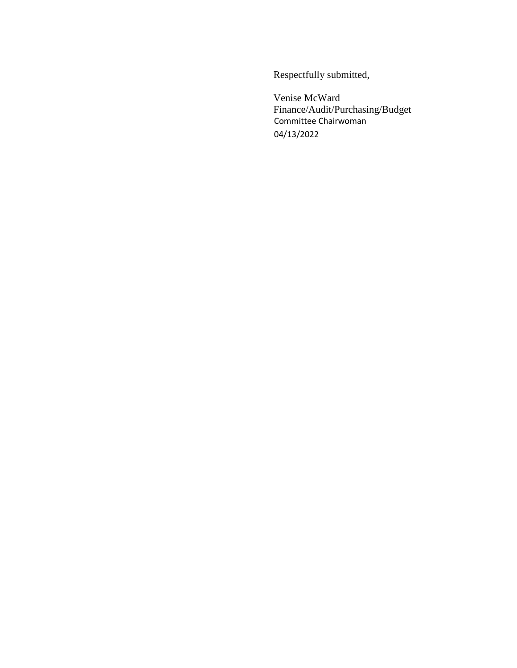Respectfully submitted,

Venise McWard Finance/Audit/Purchasing/Budget Committee Chairwoman 04/13/2022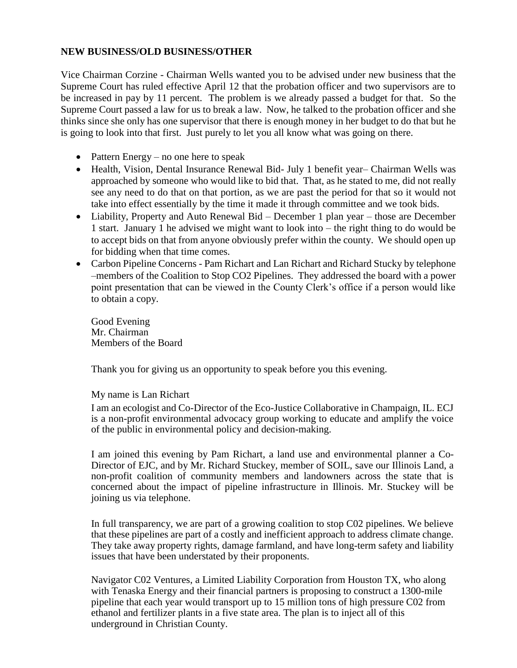#### **NEW BUSINESS/OLD BUSINESS/OTHER**

Vice Chairman Corzine - Chairman Wells wanted you to be advised under new business that the Supreme Court has ruled effective April 12 that the probation officer and two supervisors are to be increased in pay by 11 percent. The problem is we already passed a budget for that. So the Supreme Court passed a law for us to break a law. Now, he talked to the probation officer and she thinks since she only has one supervisor that there is enough money in her budget to do that but he is going to look into that first. Just purely to let you all know what was going on there.

- Pattern Energy no one here to speak
- Health, Vision, Dental Insurance Renewal Bid- July 1 benefit year– Chairman Wells was approached by someone who would like to bid that. That, as he stated to me, did not really see any need to do that on that portion, as we are past the period for that so it would not take into effect essentially by the time it made it through committee and we took bids.
- Liability, Property and Auto Renewal Bid December 1 plan year those are December 1 start. January 1 he advised we might want to look into – the right thing to do would be to accept bids on that from anyone obviously prefer within the county. We should open up for bidding when that time comes.
- Carbon Pipeline Concerns Pam Richart and Lan Richart and Richard Stucky by telephone –members of the Coalition to Stop CO2 Pipelines. They addressed the board with a power point presentation that can be viewed in the County Clerk's office if a person would like to obtain a copy.

Good Evening Mr. Chairman Members of the Board

Thank you for giving us an opportunity to speak before you this evening.

#### My name is Lan Richart

I am an ecologist and Co-Director of the Eco-Justice Collaborative in Champaign, IL. ECJ is a non-profit environmental advocacy group working to educate and amplify the voice of the public in environmental policy and decision-making.

I am joined this evening by Pam Richart, a land use and environmental planner a Co-Director of EJC, and by Mr. Richard Stuckey, member of SOIL, save our Illinois Land, a non-profit coalition of community members and landowners across the state that is concerned about the impact of pipeline infrastructure in Illinois. Mr. Stuckey will be joining us via telephone.

In full transparency, we are part of a growing coalition to stop C02 pipelines. We believe that these pipelines are part of a costly and inefficient approach to address climate change. They take away property rights, damage farmland, and have long-term safety and liability issues that have been understated by their proponents.

Navigator C02 Ventures, a Limited Liability Corporation from Houston TX, who along with Tenaska Energy and their financial partners is proposing to construct a 1300-mile pipeline that each year would transport up to 15 million tons of high pressure C02 from ethanol and fertilizer plants in a five state area. The plan is to inject all of this underground in Christian County.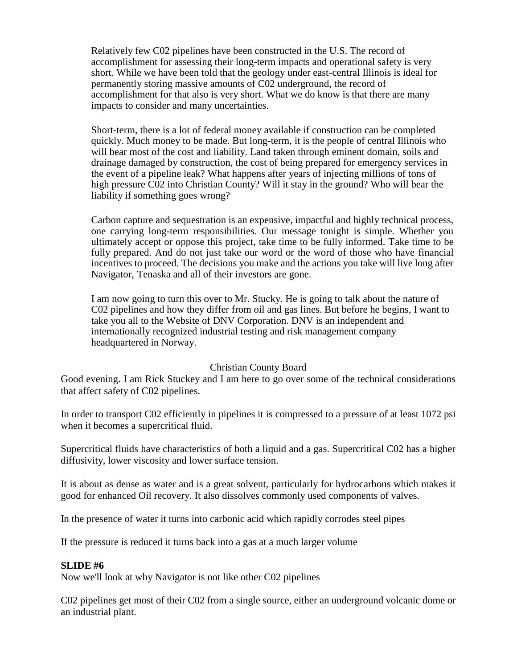Relatively few C02 pipelines have been constructed in the U.S. The record of accomplishment for assessing their long-term impacts and operational safety is very short. While we have been told that the geology under east-central Illinois is ideal for permanently storing massive amounts of C02 underground, the record of accomplishment for that also is very short. What we do know is that there are many impacts to consider and many uncertainties.

Short-term, there is a lot of federal money available if construction can be completed quickly. Much money to be made. But long-term, it is the people of central Illinois who will bear most of the cost and liability. Land taken through eminent domain, soils and drainage damaged by construction, the cost of being prepared for emergency services in the event of a pipeline leak? What happens after years of injecting millions of tons of high pressure C02 into Christian County? Will it stay in the ground? Who will bear the liability if something goes wrong?

Carbon capture and sequestration is an expensive, impactful and highly technical process, one carrying long-term responsibilities. Our message tonight is simple. Whether you ultimately accept or oppose this project, take time to be fully informed. Take time to be fully prepared. And do not just take our word or the word of those who have financial incentives to proceed. The decisions you make and the actions you take will live long after Navigator, Tenaska and all of their investors are gone.

I am now going to turn this over to Mr. Stucky. He is going to talk about the nature of C02 pipelines and how they differ from oil and gas lines. But before he begins, I want to take you all to the Website of DNV Corporation. DNV is an independent and internationally recognized industrial testing and risk management company headquartered in Norway.

#### Christian County Board

Good evening. I am Rick Stuckey and I am here to go over some of the technical considerations that affect safety of C02 pipelines.

In order to transport C02 efficiently in pipelines it is compressed to a pressure of at least 1072 psi when it becomes a supercritical fluid.

Supercritical fluids have characteristics of both a liquid and a gas. Supercritical C02 has a higher diffusivity, lower viscosity and lower surface tension.

It is about as dense as water and is a great solvent, particularly for hydrocarbons which makes it good for enhanced Oil recovery. It also dissolves commonly used components of valves.

In the presence of water it turns into carbonic acid which rapidly corrodes steel pipes

If the pressure is reduced it turns back into a gas at a much larger volume

#### **SLIDE #6**

Now we'll look at why Navigator is not like other C02 pipelines

C02 pipelines get most of their C02 from a single source, either an underground volcanic dome or an industrial plant.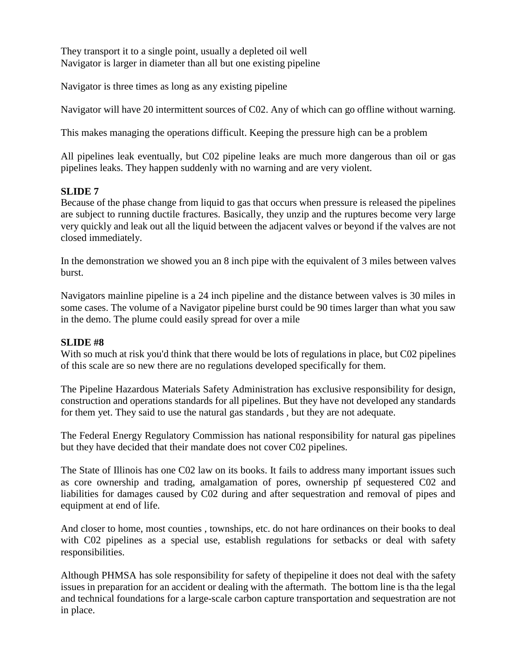They transport it to a single point, usually a depleted oil well Navigator is larger in diameter than all but one existing pipeline

Navigator is three times as long as any existing pipeline

Navigator will have 20 intermittent sources of C02. Any of which can go offline without warning.

This makes managing the operations difficult. Keeping the pressure high can be a problem

All pipelines leak eventually, but C02 pipeline leaks are much more dangerous than oil or gas pipelines leaks. They happen suddenly with no warning and are very violent.

## **SLIDE 7**

Because of the phase change from liquid to gas that occurs when pressure is released the pipelines are subject to running ductile fractures. Basically, they unzip and the ruptures become very large very quickly and leak out all the liquid between the adjacent valves or beyond if the valves are not closed immediately.

In the demonstration we showed you an 8 inch pipe with the equivalent of 3 miles between valves burst.

Navigators mainline pipeline is a 24 inch pipeline and the distance between valves is 30 miles in some cases. The volume of a Navigator pipeline burst could be 90 times larger than what you saw in the demo. The plume could easily spread for over a mile

## **SLIDE #8**

With so much at risk you'd think that there would be lots of regulations in place, but C02 pipelines of this scale are so new there are no regulations developed specifically for them.

The Pipeline Hazardous Materials Safety Administration has exclusive responsibility for design, construction and operations standards for all pipelines. But they have not developed any standards for them yet. They said to use the natural gas standards , but they are not adequate.

The Federal Energy Regulatory Commission has national responsibility for natural gas pipelines but they have decided that their mandate does not cover C02 pipelines.

The State of Illinois has one C02 law on its books. It fails to address many important issues such as core ownership and trading, amalgamation of pores, ownership pf sequestered C02 and liabilities for damages caused by C02 during and after sequestration and removal of pipes and equipment at end of life.

And closer to home, most counties , townships, etc. do not hare ordinances on their books to deal with C02 pipelines as a special use, establish regulations for setbacks or deal with safety responsibilities.

Although PHMSA has sole responsibility for safety of thepipeline it does not deal with the safety issues in preparation for an accident or dealing with the aftermath. The bottom line is tha the legal and technical foundations for a large-scale carbon capture transportation and sequestration are not in place.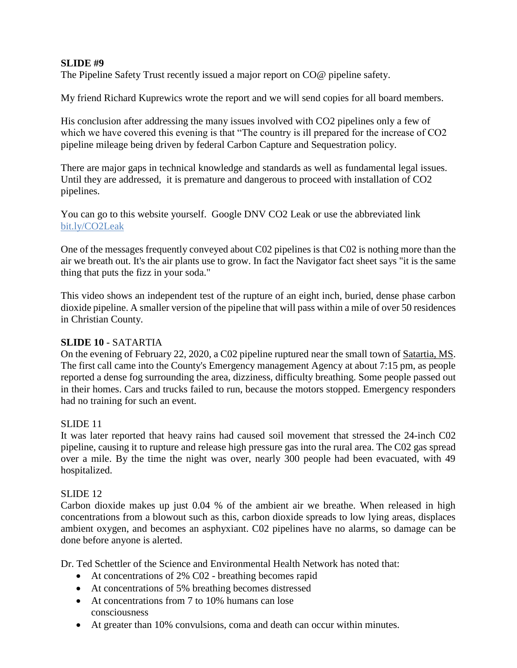## **SLIDE #9**

The Pipeline Safety Trust recently issued a major report on CO@ pipeline safety.

My friend Richard Kuprewics wrote the report and we will send copies for all board members.

His conclusion after addressing the many issues involved with CO2 pipelines only a few of which we have covered this evening is that "The country is ill prepared for the increase of CO2 pipeline mileage being driven by federal Carbon Capture and Sequestration policy.

There are major gaps in technical knowledge and standards as well as fundamental legal issues. Until they are addressed, it is premature and dangerous to proceed with installation of CO2 pipelines.

You can go to this website yourself. Google DNV CO2 Leak or use the abbreviated link bit.ly/CO2Leak

One of the messages frequently conveyed about C02 pipelines is that C02 is nothing more than the air we breath out. It's the air plants use to grow. In fact the Navigator fact sheet says "it is the same thing that puts the fizz in your soda."

This video shows an independent test of the rupture of an eight inch, buried, dense phase carbon dioxide pipeline. A smaller version of the pipeline that will pass within a mile of over 50 residences in Christian County.

#### **SLIDE 10** - SATARTIA

On the evening of February 22, 2020, a C02 pipeline ruptured near the small town of Satartia, MS. The first call came into the County's Emergency management Agency at about 7:15 pm, as people reported a dense fog surrounding the area, dizziness, difficulty breathing. Some people passed out in their homes. Cars and trucks failed to run, because the motors stopped. Emergency responders had no training for such an event.

#### SLIDE 11

It was later reported that heavy rains had caused soil movement that stressed the 24-inch C02 pipeline, causing it to rupture and release high pressure gas into the rural area. The C02 gas spread over a mile. By the time the night was over, nearly 300 people had been evacuated, with 49 hospitalized.

#### SLIDE 12

Carbon dioxide makes up just 0.04 % of the ambient air we breathe. When released in high concentrations from a blowout such as this, carbon dioxide spreads to low lying areas, displaces ambient oxygen, and becomes an asphyxiant. C02 pipelines have no alarms, so damage can be done before anyone is alerted.

Dr. Ted Schettler of the Science and Environmental Health Network has noted that:

- At concentrations of 2% C02 breathing becomes rapid
- At concentrations of 5% breathing becomes distressed
- At concentrations from 7 to 10% humans can lose consciousness
- At greater than 10% convulsions, coma and death can occur within minutes.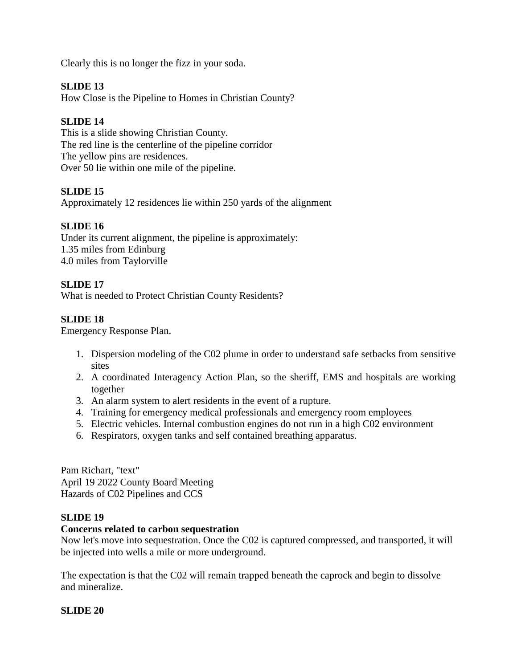Clearly this is no longer the fizz in your soda.

## **SLIDE 13**

How Close is the Pipeline to Homes in Christian County?

## **SLIDE 14**

This is a slide showing Christian County. The red line is the centerline of the pipeline corridor The yellow pins are residences. Over 50 lie within one mile of the pipeline.

## **SLIDE 15**

Approximately 12 residences lie within 250 yards of the alignment

## **SLIDE 16**

Under its current alignment, the pipeline is approximately: 1.35 miles from Edinburg 4.0 miles from Taylorville

## **SLIDE 17**

What is needed to Protect Christian County Residents?

## **SLIDE 18**

Emergency Response Plan.

- 1. Dispersion modeling of the C02 plume in order to understand safe setbacks from sensitive sites
- 2. A coordinated Interagency Action Plan, so the sheriff, EMS and hospitals are working together
- 3. An alarm system to alert residents in the event of a rupture.
- 4. Training for emergency medical professionals and emergency room employees
- 5. Electric vehicles. Internal combustion engines do not run in a high C02 environment
- 6. Respirators, oxygen tanks and self contained breathing apparatus.

Pam Richart, "text" April 19 2022 County Board Meeting Hazards of C02 Pipelines and CCS

## **SLIDE 19**

#### **Concerns related to carbon sequestration**

Now let's move into sequestration. Once the C02 is captured compressed, and transported, it will be injected into wells a mile or more underground.

The expectation is that the C02 will remain trapped beneath the caprock and begin to dissolve and mineralize.

#### **SLIDE 20**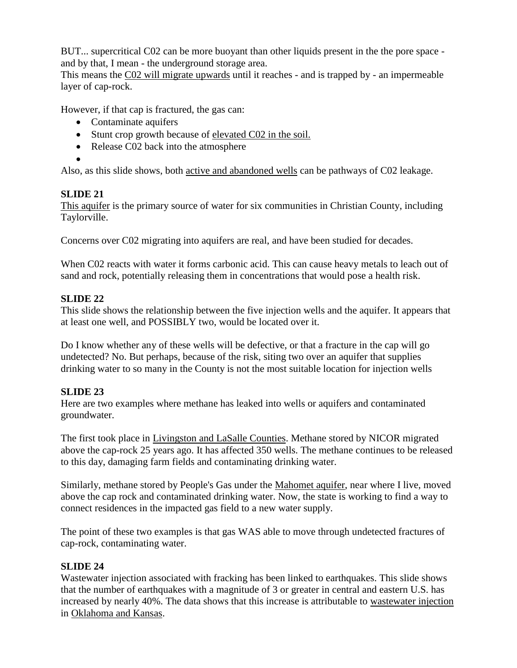BUT... supercritical C02 can be more buoyant than other liquids present in the the pore space and by that, I mean - the underground storage area.

This means the C02 will migrate upwards until it reaches - and is trapped by - an impermeable layer of cap-rock.

However, if that cap is fractured, the gas can:

- Contaminate aquifers
- Stunt crop growth because of elevated C02 in the soil.
- Release C02 back into the atmosphere

 $\bullet$ 

Also, as this slide shows, both active and abandoned wells can be pathways of C02 leakage.

## **SLIDE 21**

This aquifer is the primary source of water for six communities in Christian County, including Taylorville.

Concerns over C02 migrating into aquifers are real, and have been studied for decades.

When C02 reacts with water it forms carbonic acid. This can cause heavy metals to leach out of sand and rock, potentially releasing them in concentrations that would pose a health risk.

## **SLIDE 22**

This slide shows the relationship between the five injection wells and the aquifer. It appears that at least one well, and POSSIBLY two, would be located over it.

Do I know whether any of these wells will be defective, or that a fracture in the cap will go undetected? No. But perhaps, because of the risk, siting two over an aquifer that supplies drinking water to so many in the County is not the most suitable location for injection wells

## **SLIDE 23**

Here are two examples where methane has leaked into wells or aquifers and contaminated groundwater.

The first took place in Livingston and LaSalle Counties. Methane stored by NICOR migrated above the cap-rock 25 years ago. It has affected 350 wells. The methane continues to be released to this day, damaging farm fields and contaminating drinking water.

Similarly, methane stored by People's Gas under the Mahomet aquifer, near where I live, moved above the cap rock and contaminated drinking water. Now, the state is working to find a way to connect residences in the impacted gas field to a new water supply.

The point of these two examples is that gas WAS able to move through undetected fractures of cap-rock, contaminating water.

## **SLIDE 24**

Wastewater injection associated with fracking has been linked to earthquakes. This slide shows that the number of earthquakes with a magnitude of 3 or greater in central and eastern U.S. has increased by nearly 40%. The data shows that this increase is attributable to wastewater injection in Oklahoma and Kansas.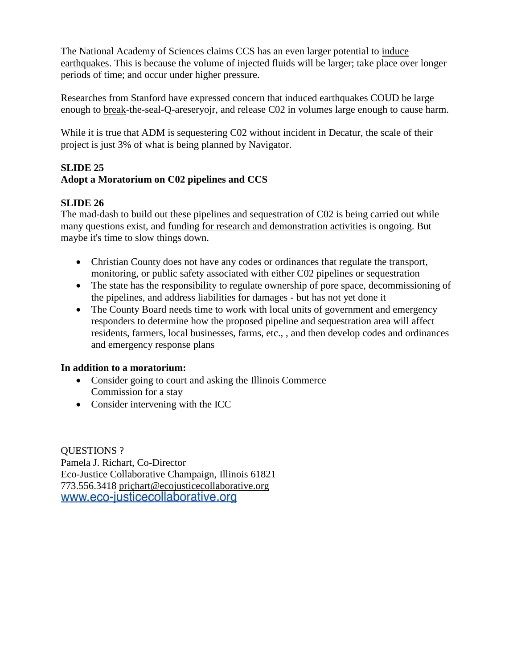The National Academy of Sciences claims CCS has an even larger potential to induce earthquakes. This is because the volume of injected fluids will be larger; take place over longer periods of time; and occur under higher pressure.

Researches from Stanford have expressed concern that induced earthquakes COUD be large enough to break-the-seal-Q-areseryojr, and release C02 in volumes large enough to cause harm.

While it is true that ADM is sequestering C02 without incident in Decatur, the scale of their project is just 3% of what is being planned by Navigator.

# **SLIDE 25**

# **Adopt a Moratorium on C02 pipelines and CCS**

## **SLIDE 26**

The mad-dash to build out these pipelines and sequestration of C02 is being carried out while many questions exist, and funding for research and demonstration activities is ongoing. But maybe it's time to slow things down.

- Christian County does not have any codes or ordinances that regulate the transport, monitoring, or public safety associated with either C02 pipelines or sequestration
- The state has the responsibility to regulate ownership of pore space, decommissioning of the pipelines, and address liabilities for damages - but has not yet done it
- The County Board needs time to work with local units of government and emergency responders to determine how the proposed pipeline and sequestration area will affect residents, farmers, local businesses, farms, etc., , and then develop codes and ordinances and emergency response plans

## **In addition to a moratorium:**

- Consider going to court and asking the Illinois Commerce Commission for a stay
- Consider intervening with the ICC

QUESTIONS ? Pamela J. Richart, Co-Director Eco-Justice Collaborative Champaign, Illinois 61821 773.556.3418 priçhart@ecojusticecollaborative.orgwww.eco-justicecollaborative.org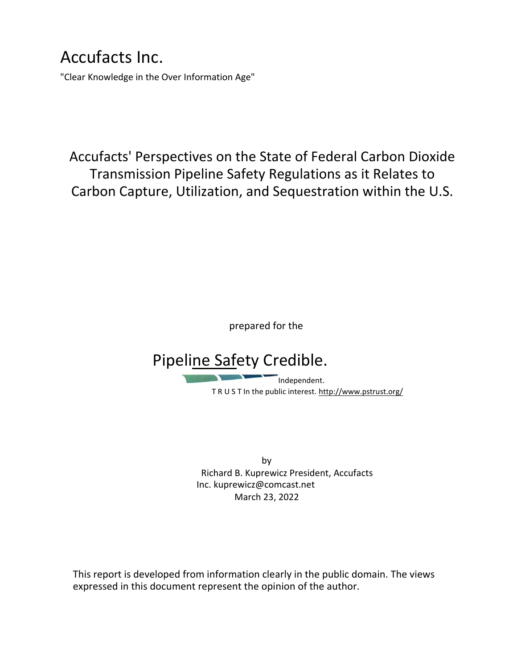# Accufacts Inc.

"Clear Knowledge in the Over Information Age"

Accufacts' Perspectives on the State of Federal Carbon Dioxide Transmission Pipeline Safety Regulations as it Relates to Carbon Capture, Utilization, and Sequestration within the U.S.

prepared for the

# Pipeline Safety Credible.

Independent. T R U S T In the public interest. http://www.pstrust.org/

by Richard B. Kuprewicz President, Accufacts Inc. kuprewicz@comcast.net March 23, 2022

This report is developed from information clearly in the public domain. The views expressed in this document represent the opinion of the author.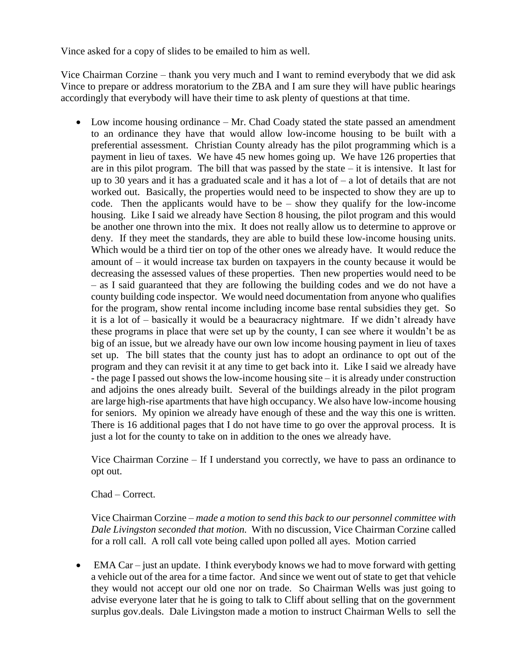Vince asked for a copy of slides to be emailed to him as well.

Vice Chairman Corzine – thank you very much and I want to remind everybody that we did ask Vince to prepare or address moratorium to the ZBA and I am sure they will have public hearings accordingly that everybody will have their time to ask plenty of questions at that time.

• Low income housing ordinance – Mr. Chad Coady stated the state passed an amendment to an ordinance they have that would allow low-income housing to be built with a preferential assessment. Christian County already has the pilot programming which is a payment in lieu of taxes. We have 45 new homes going up. We have 126 properties that are in this pilot program. The bill that was passed by the state  $-$  it is intensive. It last for up to 30 years and it has a graduated scale and it has a lot of  $-$  a lot of details that are not worked out. Basically, the properties would need to be inspected to show they are up to code. Then the applicants would have to be  $-$  show they qualify for the low-income housing. Like I said we already have Section 8 housing, the pilot program and this would be another one thrown into the mix. It does not really allow us to determine to approve or deny. If they meet the standards, they are able to build these low-income housing units. Which would be a third tier on top of the other ones we already have. It would reduce the amount of – it would increase tax burden on taxpayers in the county because it would be decreasing the assessed values of these properties. Then new properties would need to be – as I said guaranteed that they are following the building codes and we do not have a county building code inspector. We would need documentation from anyone who qualifies for the program, show rental income including income base rental subsidies they get. So it is a lot of – basically it would be a beauracracy nightmare. If we didn't already have these programs in place that were set up by the county, I can see where it wouldn't be as big of an issue, but we already have our own low income housing payment in lieu of taxes set up. The bill states that the county just has to adopt an ordinance to opt out of the program and they can revisit it at any time to get back into it. Like I said we already have - the page I passed out shows the low-income housing site – it is already under construction and adjoins the ones already built. Several of the buildings already in the pilot program are large high-rise apartments that have high occupancy. We also have low-income housing for seniors. My opinion we already have enough of these and the way this one is written. There is 16 additional pages that I do not have time to go over the approval process. It is just a lot for the county to take on in addition to the ones we already have.

Vice Chairman Corzine – If I understand you correctly, we have to pass an ordinance to opt out.

#### Chad – Correct.

Vice Chairman Corzine – *made a motion to send this back to our personnel committee with Dale Livingston seconded that motion.* With no discussion, Vice Chairman Corzine called for a roll call. A roll call vote being called upon polled all ayes. Motion carried

 $\bullet$  EMA Car – just an update. I think everybody knows we had to move forward with getting a vehicle out of the area for a time factor. And since we went out of state to get that vehicle they would not accept our old one nor on trade. So Chairman Wells was just going to advise everyone later that he is going to talk to Cliff about selling that on the government surplus gov.deals. Dale Livingston made a motion to instruct Chairman Wells to sell the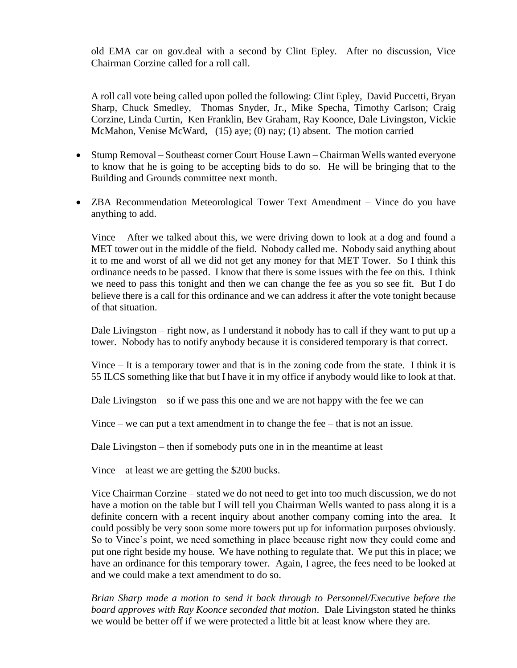old EMA car on gov.deal with a second by Clint Epley. After no discussion, Vice Chairman Corzine called for a roll call.

A roll call vote being called upon polled the following: Clint Epley, David Puccetti, Bryan Sharp, Chuck Smedley, Thomas Snyder, Jr., Mike Specha, Timothy Carlson; Craig Corzine, Linda Curtin, Ken Franklin, Bev Graham, Ray Koonce, Dale Livingston, Vickie McMahon, Venise McWard, (15) aye; (0) nay; (1) absent. The motion carried

- Stump Removal Southeast corner Court House Lawn Chairman Wells wanted everyone to know that he is going to be accepting bids to do so. He will be bringing that to the Building and Grounds committee next month.
- ZBA Recommendation Meteorological Tower Text Amendment Vince do you have anything to add.

Vince – After we talked about this, we were driving down to look at a dog and found a MET tower out in the middle of the field. Nobody called me. Nobody said anything about it to me and worst of all we did not get any money for that MET Tower. So I think this ordinance needs to be passed. I know that there is some issues with the fee on this. I think we need to pass this tonight and then we can change the fee as you so see fit. But I do believe there is a call for this ordinance and we can address it after the vote tonight because of that situation.

Dale Livingston – right now, as I understand it nobody has to call if they want to put up a tower. Nobody has to notify anybody because it is considered temporary is that correct.

Vince – It is a temporary tower and that is in the zoning code from the state. I think it is 55 ILCS something like that but I have it in my office if anybody would like to look at that.

Dale Livingston – so if we pass this one and we are not happy with the fee we can

Vince – we can put a text amendment in to change the fee – that is not an issue.

Dale Livingston – then if somebody puts one in in the meantime at least

Vince – at least we are getting the \$200 bucks.

Vice Chairman Corzine – stated we do not need to get into too much discussion, we do not have a motion on the table but I will tell you Chairman Wells wanted to pass along it is a definite concern with a recent inquiry about another company coming into the area. It could possibly be very soon some more towers put up for information purposes obviously. So to Vince's point, we need something in place because right now they could come and put one right beside my house. We have nothing to regulate that. We put this in place; we have an ordinance for this temporary tower. Again, I agree, the fees need to be looked at and we could make a text amendment to do so.

*Brian Sharp made a motion to send it back through to Personnel/Executive before the board approves with Ray Koonce seconded that motion*. Dale Livingston stated he thinks we would be better off if we were protected a little bit at least know where they are.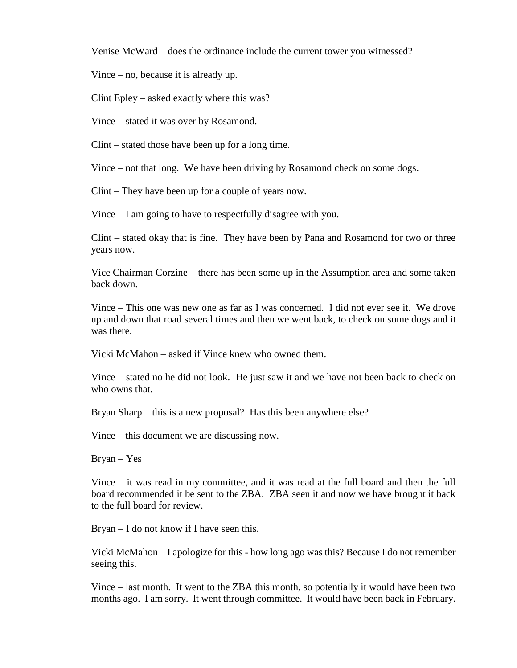Venise McWard – does the ordinance include the current tower you witnessed?

Vince – no, because it is already up.

Clint Epley – asked exactly where this was?

Vince – stated it was over by Rosamond.

Clint – stated those have been up for a long time.

Vince – not that long. We have been driving by Rosamond check on some dogs.

Clint – They have been up for a couple of years now.

Vince – I am going to have to respectfully disagree with you.

Clint – stated okay that is fine. They have been by Pana and Rosamond for two or three years now.

Vice Chairman Corzine – there has been some up in the Assumption area and some taken back down.

Vince – This one was new one as far as I was concerned. I did not ever see it. We drove up and down that road several times and then we went back, to check on some dogs and it was there.

Vicki McMahon – asked if Vince knew who owned them.

Vince – stated no he did not look. He just saw it and we have not been back to check on who owns that.

Bryan Sharp – this is a new proposal? Has this been anywhere else?

Vince – this document we are discussing now.

Bryan – Yes

Vince – it was read in my committee, and it was read at the full board and then the full board recommended it be sent to the ZBA. ZBA seen it and now we have brought it back to the full board for review.

Bryan – I do not know if I have seen this.

Vicki McMahon – I apologize for this - how long ago was this? Because I do not remember seeing this.

Vince – last month. It went to the ZBA this month, so potentially it would have been two months ago. I am sorry. It went through committee. It would have been back in February.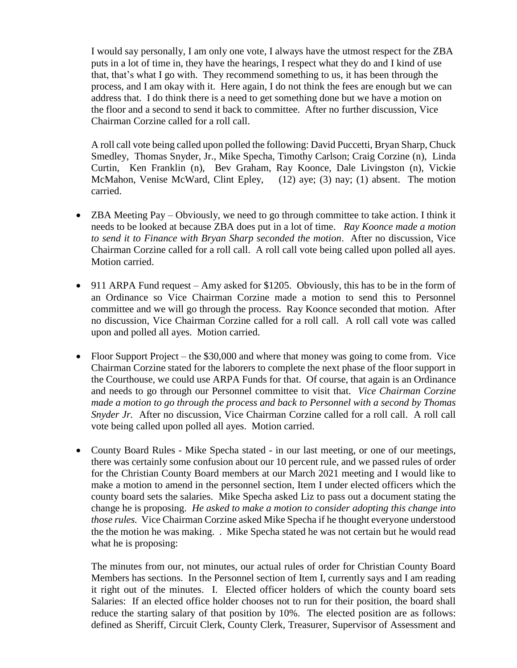I would say personally, I am only one vote, I always have the utmost respect for the ZBA puts in a lot of time in, they have the hearings, I respect what they do and I kind of use that, that's what I go with. They recommend something to us, it has been through the process, and I am okay with it. Here again, I do not think the fees are enough but we can address that. I do think there is a need to get something done but we have a motion on the floor and a second to send it back to committee. After no further discussion, Vice Chairman Corzine called for a roll call.

A roll call vote being called upon polled the following: David Puccetti, Bryan Sharp, Chuck Smedley, Thomas Snyder, Jr., Mike Specha, Timothy Carlson; Craig Corzine (n), Linda Curtin, Ken Franklin (n), Bev Graham, Ray Koonce, Dale Livingston (n), Vickie McMahon, Venise McWard, Clint Epley, (12) aye; (3) nay; (1) absent. The motion carried.

- ZBA Meeting Pay Obviously, we need to go through committee to take action. I think it needs to be looked at because ZBA does put in a lot of time. *Ray Koonce made a motion to send it to Finance with Bryan Sharp seconded the motion*. After no discussion, Vice Chairman Corzine called for a roll call. A roll call vote being called upon polled all ayes. Motion carried.
- 911 ARPA Fund request Amy asked for \$1205. Obviously, this has to be in the form of an Ordinance so Vice Chairman Corzine made a motion to send this to Personnel committee and we will go through the process. Ray Koonce seconded that motion. After no discussion, Vice Chairman Corzine called for a roll call. A roll call vote was called upon and polled all ayes. Motion carried.
- Floor Support Project the \$30,000 and where that money was going to come from. Vice Chairman Corzine stated for the laborers to complete the next phase of the floor support in the Courthouse, we could use ARPA Funds for that. Of course, that again is an Ordinance and needs to go through our Personnel committee to visit that. *Vice Chairman Corzine made a motion to go through the process and back to Personnel with a second by Thomas Snyder Jr.* After no discussion, Vice Chairman Corzine called for a roll call. A roll call vote being called upon polled all ayes. Motion carried.
- County Board Rules Mike Specha stated in our last meeting, or one of our meetings, there was certainly some confusion about our 10 percent rule, and we passed rules of order for the Christian County Board members at our March 2021 meeting and I would like to make a motion to amend in the personnel section, Item I under elected officers which the county board sets the salaries. Mike Specha asked Liz to pass out a document stating the change he is proposing. *He asked to make a motion to consider adopting this change into those rules.* Vice Chairman Corzine asked Mike Specha if he thought everyone understood the the motion he was making. . Mike Specha stated he was not certain but he would read what he is proposing:

The minutes from our, not minutes, our actual rules of order for Christian County Board Members has sections. In the Personnel section of Item I, currently says and I am reading it right out of the minutes. I. Elected officer holders of which the county board sets Salaries: If an elected office holder chooses not to run for their position, the board shall reduce the starting salary of that position by 10%. The elected position are as follows: defined as Sheriff, Circuit Clerk, County Clerk, Treasurer, Supervisor of Assessment and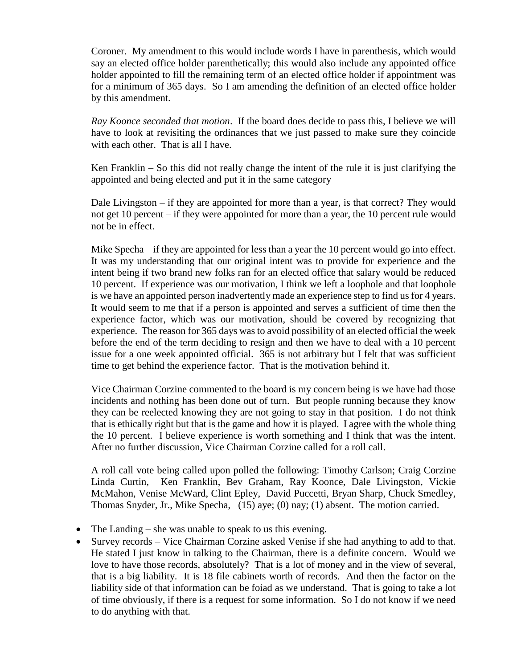Coroner. My amendment to this would include words I have in parenthesis, which would say an elected office holder parenthetically; this would also include any appointed office holder appointed to fill the remaining term of an elected office holder if appointment was for a minimum of 365 days. So I am amending the definition of an elected office holder by this amendment.

*Ray Koonce seconded that motion*. If the board does decide to pass this, I believe we will have to look at revisiting the ordinances that we just passed to make sure they coincide with each other. That is all I have.

Ken Franklin *–* So this did not really change the intent of the rule it is just clarifying the appointed and being elected and put it in the same category

Dale Livingston – if they are appointed for more than a year, is that correct? They would not get 10 percent – if they were appointed for more than a year, the 10 percent rule would not be in effect.

Mike Specha – if they are appointed for less than a year the 10 percent would go into effect. It was my understanding that our original intent was to provide for experience and the intent being if two brand new folks ran for an elected office that salary would be reduced 10 percent. If experience was our motivation, I think we left a loophole and that loophole is we have an appointed person inadvertently made an experience step to find us for 4 years. It would seem to me that if a person is appointed and serves a sufficient of time then the experience factor, which was our motivation, should be covered by recognizing that experience. The reason for 365 days was to avoid possibility of an elected official the week before the end of the term deciding to resign and then we have to deal with a 10 percent issue for a one week appointed official. 365 is not arbitrary but I felt that was sufficient time to get behind the experience factor. That is the motivation behind it.

Vice Chairman Corzine commented to the board is my concern being is we have had those incidents and nothing has been done out of turn. But people running because they know they can be reelected knowing they are not going to stay in that position. I do not think that is ethically right but that is the game and how it is played. I agree with the whole thing the 10 percent. I believe experience is worth something and I think that was the intent. After no further discussion, Vice Chairman Corzine called for a roll call.

A roll call vote being called upon polled the following: Timothy Carlson; Craig Corzine Linda Curtin, Ken Franklin, Bev Graham, Ray Koonce, Dale Livingston, Vickie McMahon, Venise McWard, Clint Epley, David Puccetti, Bryan Sharp, Chuck Smedley, Thomas Snyder, Jr., Mike Specha, (15) aye; (0) nay; (1) absent. The motion carried.

- The Landing she was unable to speak to us this evening.
- Survey records Vice Chairman Corzine asked Venise if she had anything to add to that. He stated I just know in talking to the Chairman, there is a definite concern. Would we love to have those records, absolutely? That is a lot of money and in the view of several, that is a big liability. It is 18 file cabinets worth of records. And then the factor on the liability side of that information can be foiad as we understand. That is going to take a lot of time obviously, if there is a request for some information. So I do not know if we need to do anything with that.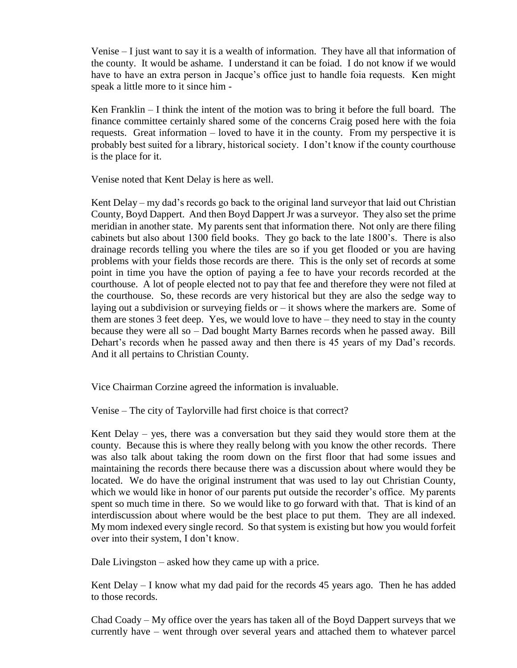Venise – I just want to say it is a wealth of information. They have all that information of the county. It would be ashame. I understand it can be foiad. I do not know if we would have to have an extra person in Jacque's office just to handle foia requests. Ken might speak a little more to it since him -

Ken Franklin – I think the intent of the motion was to bring it before the full board. The finance committee certainly shared some of the concerns Craig posed here with the foia requests. Great information – loved to have it in the county. From my perspective it is probably best suited for a library, historical society. I don't know if the county courthouse is the place for it.

Venise noted that Kent Delay is here as well.

Kent Delay – my dad's records go back to the original land surveyor that laid out Christian County, Boyd Dappert. And then Boyd Dappert Jr was a surveyor. They also set the prime meridian in another state. My parents sent that information there. Not only are there filing cabinets but also about 1300 field books. They go back to the late 1800's. There is also drainage records telling you where the tiles are so if you get flooded or you are having problems with your fields those records are there. This is the only set of records at some point in time you have the option of paying a fee to have your records recorded at the courthouse. A lot of people elected not to pay that fee and therefore they were not filed at the courthouse. So, these records are very historical but they are also the sedge way to laying out a subdivision or surveying fields or – it shows where the markers are. Some of them are stones 3 feet deep. Yes, we would love to have – they need to stay in the county because they were all so – Dad bought Marty Barnes records when he passed away. Bill Dehart's records when he passed away and then there is 45 years of my Dad's records. And it all pertains to Christian County.

Vice Chairman Corzine agreed the information is invaluable.

Venise – The city of Taylorville had first choice is that correct?

Kent Delay – yes, there was a conversation but they said they would store them at the county. Because this is where they really belong with you know the other records. There was also talk about taking the room down on the first floor that had some issues and maintaining the records there because there was a discussion about where would they be located. We do have the original instrument that was used to lay out Christian County, which we would like in honor of our parents put outside the recorder's office. My parents spent so much time in there. So we would like to go forward with that. That is kind of an interdiscussion about where would be the best place to put them. They are all indexed. My mom indexed every single record. So that system is existing but how you would forfeit over into their system, I don't know.

Dale Livingston – asked how they came up with a price.

Kent Delay – I know what my dad paid for the records 45 years ago. Then he has added to those records.

Chad Coady – My office over the years has taken all of the Boyd Dappert surveys that we currently have – went through over several years and attached them to whatever parcel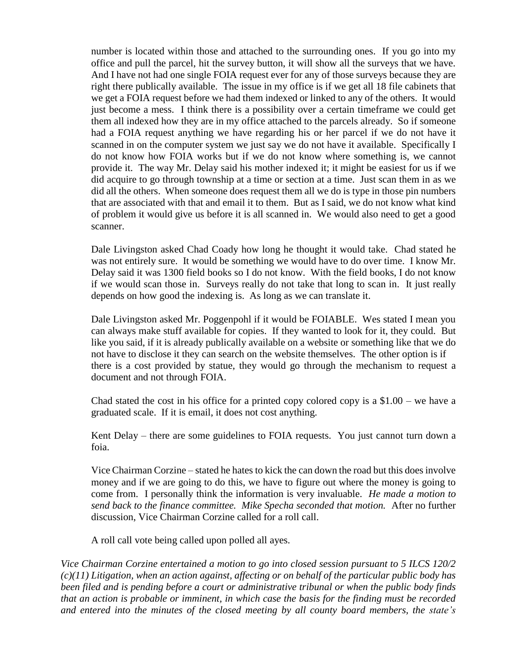number is located within those and attached to the surrounding ones. If you go into my office and pull the parcel, hit the survey button, it will show all the surveys that we have. And I have not had one single FOIA request ever for any of those surveys because they are right there publically available. The issue in my office is if we get all 18 file cabinets that we get a FOIA request before we had them indexed or linked to any of the others. It would just become a mess. I think there is a possibility over a certain timeframe we could get them all indexed how they are in my office attached to the parcels already. So if someone had a FOIA request anything we have regarding his or her parcel if we do not have it scanned in on the computer system we just say we do not have it available. Specifically I do not know how FOIA works but if we do not know where something is, we cannot provide it. The way Mr. Delay said his mother indexed it; it might be easiest for us if we did acquire to go through township at a time or section at a time. Just scan them in as we did all the others. When someone does request them all we do is type in those pin numbers that are associated with that and email it to them. But as I said, we do not know what kind of problem it would give us before it is all scanned in. We would also need to get a good scanner.

Dale Livingston asked Chad Coady how long he thought it would take. Chad stated he was not entirely sure. It would be something we would have to do over time. I know Mr. Delay said it was 1300 field books so I do not know. With the field books, I do not know if we would scan those in. Surveys really do not take that long to scan in. It just really depends on how good the indexing is. As long as we can translate it.

Dale Livingston asked Mr. Poggenpohl if it would be FOIABLE. Wes stated I mean you can always make stuff available for copies. If they wanted to look for it, they could. But like you said, if it is already publically available on a website or something like that we do not have to disclose it they can search on the website themselves. The other option is if there is a cost provided by statue, they would go through the mechanism to request a document and not through FOIA.

Chad stated the cost in his office for a printed copy colored copy is a  $$1.00$  – we have a graduated scale. If it is email, it does not cost anything.

Kent Delay – there are some guidelines to FOIA requests. You just cannot turn down a foia.

Vice Chairman Corzine – stated he hates to kick the can down the road but this does involve money and if we are going to do this, we have to figure out where the money is going to come from. I personally think the information is very invaluable. *He made a motion to send back to the finance committee. Mike Specha seconded that motion.* After no further discussion, Vice Chairman Corzine called for a roll call.

A roll call vote being called upon polled all ayes.

*Vice Chairman Corzine entertained a motion to go into closed session pursuant to 5 ILCS 120/2 (c)(11) Litigation, when an action against, affecting or on behalf of the particular public body has been filed and is pending before a court or administrative tribunal or when the public body finds that an action is probable or imminent, in which case the basis for the finding must be recorded and entered into the minutes of the closed meeting by all county board members, the state's*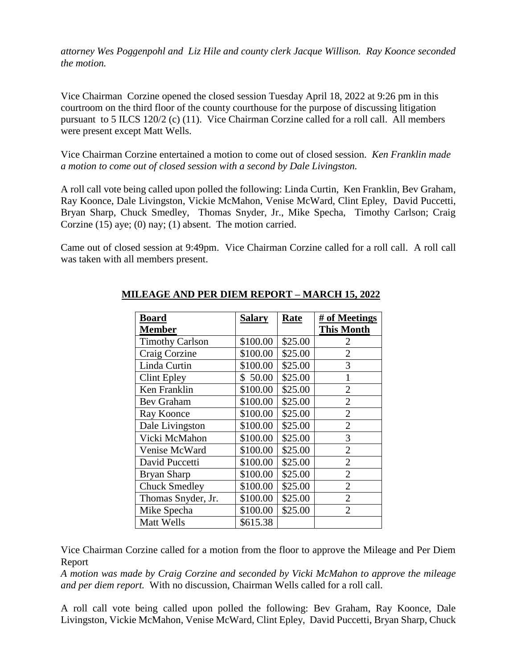*attorney Wes Poggenpohl and Liz Hile and county clerk Jacque Willison. Ray Koonce seconded the motion.* 

Vice Chairman Corzine opened the closed session Tuesday April 18, 2022 at 9:26 pm in this courtroom on the third floor of the county courthouse for the purpose of discussing litigation pursuant to 5 ILCS 120/2 (c) (11). Vice Chairman Corzine called for a roll call. All members were present except Matt Wells.

Vice Chairman Corzine entertained a motion to come out of closed session. *Ken Franklin made a motion to come out of closed session with a second by Dale Livingston.* 

A roll call vote being called upon polled the following: Linda Curtin, Ken Franklin, Bev Graham, Ray Koonce, Dale Livingston, Vickie McMahon, Venise McWard, Clint Epley, David Puccetti, Bryan Sharp, Chuck Smedley, Thomas Snyder, Jr., Mike Specha, Timothy Carlson; Craig Corzine (15) aye; (0) nay; (1) absent. The motion carried.

Came out of closed session at 9:49pm. Vice Chairman Corzine called for a roll call. A roll call was taken with all members present.

| Board                  | <b>Salary</b> | <b>Rate</b> | # of Meetings     |
|------------------------|---------------|-------------|-------------------|
| <b>Member</b>          |               |             | <b>This Month</b> |
| <b>Timothy Carlson</b> | \$100.00      | \$25.00     | 2                 |
| Craig Corzine          | \$100.00      | \$25.00     | $\overline{2}$    |
| Linda Curtin           | \$100.00      | \$25.00     | 3                 |
| Clint Epley            | \$50.00       | \$25.00     | $\mathbf{1}$      |
| Ken Franklin           | \$100.00      | \$25.00     | $\overline{2}$    |
| <b>Bev Graham</b>      | \$100.00      | \$25.00     | $\overline{2}$    |
| Ray Koonce             | \$100.00      | \$25.00     | $\overline{2}$    |
| Dale Livingston        | \$100.00      | \$25.00     | $\overline{2}$    |
| Vicki McMahon          | \$100.00      | \$25.00     | 3                 |
| Venise McWard          | \$100.00      | \$25.00     | $\overline{2}$    |
| David Puccetti         | \$100.00      | \$25.00     | $\overline{2}$    |
| <b>Bryan Sharp</b>     | \$100.00      | \$25.00     | $\overline{2}$    |
| <b>Chuck Smedley</b>   | \$100.00      | \$25.00     | $\overline{2}$    |
| Thomas Snyder, Jr.     | \$100.00      | \$25.00     | $\overline{2}$    |
| Mike Specha            | \$100.00      | \$25.00     | $\overline{2}$    |
| Matt Wells             | \$615.38      |             |                   |

## **MILEAGE AND PER DIEM REPORT – MARCH 15, 2022**

Vice Chairman Corzine called for a motion from the floor to approve the Mileage and Per Diem Report

*A motion was made by Craig Corzine and seconded by Vicki McMahon to approve the mileage and per diem report.* With no discussion, Chairman Wells called for a roll call.

A roll call vote being called upon polled the following: Bev Graham, Ray Koonce, Dale Livingston, Vickie McMahon, Venise McWard, Clint Epley, David Puccetti, Bryan Sharp, Chuck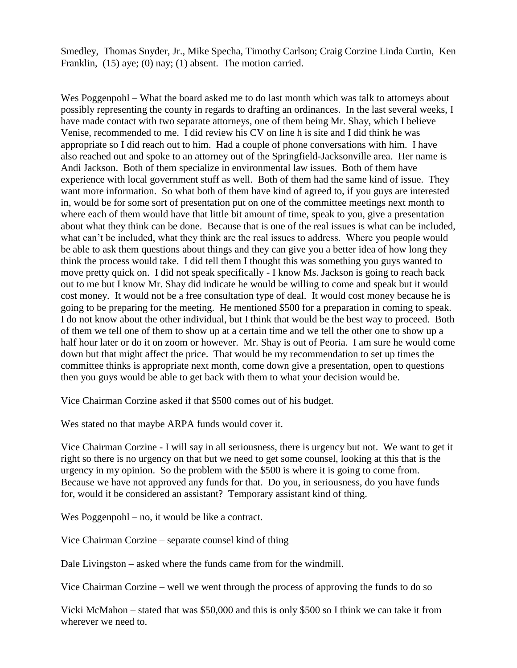Smedley, Thomas Snyder, Jr., Mike Specha, Timothy Carlson; Craig Corzine Linda Curtin, Ken Franklin, (15) aye; (0) nay; (1) absent. The motion carried.

Wes Poggenpohl – What the board asked me to do last month which was talk to attorneys about possibly representing the county in regards to drafting an ordinances. In the last several weeks, I have made contact with two separate attorneys, one of them being Mr. Shay, which I believe Venise, recommended to me. I did review his CV on line h is site and I did think he was appropriate so I did reach out to him. Had a couple of phone conversations with him. I have also reached out and spoke to an attorney out of the Springfield-Jacksonville area. Her name is Andi Jackson. Both of them specialize in environmental law issues. Both of them have experience with local government stuff as well. Both of them had the same kind of issue. They want more information. So what both of them have kind of agreed to, if you guys are interested in, would be for some sort of presentation put on one of the committee meetings next month to where each of them would have that little bit amount of time, speak to you, give a presentation about what they think can be done. Because that is one of the real issues is what can be included, what can't be included, what they think are the real issues to address. Where you people would be able to ask them questions about things and they can give you a better idea of how long they think the process would take. I did tell them I thought this was something you guys wanted to move pretty quick on. I did not speak specifically - I know Ms. Jackson is going to reach back out to me but I know Mr. Shay did indicate he would be willing to come and speak but it would cost money. It would not be a free consultation type of deal. It would cost money because he is going to be preparing for the meeting. He mentioned \$500 for a preparation in coming to speak. I do not know about the other individual, but I think that would be the best way to proceed. Both of them we tell one of them to show up at a certain time and we tell the other one to show up a half hour later or do it on zoom or however. Mr. Shay is out of Peoria. I am sure he would come down but that might affect the price. That would be my recommendation to set up times the committee thinks is appropriate next month, come down give a presentation, open to questions then you guys would be able to get back with them to what your decision would be.

Vice Chairman Corzine asked if that \$500 comes out of his budget.

Wes stated no that maybe ARPA funds would cover it.

Vice Chairman Corzine - I will say in all seriousness, there is urgency but not. We want to get it right so there is no urgency on that but we need to get some counsel, looking at this that is the urgency in my opinion. So the problem with the \$500 is where it is going to come from. Because we have not approved any funds for that. Do you, in seriousness, do you have funds for, would it be considered an assistant? Temporary assistant kind of thing.

Wes Poggenpohl – no, it would be like a contract.

Vice Chairman Corzine – separate counsel kind of thing

Dale Livingston – asked where the funds came from for the windmill.

Vice Chairman Corzine – well we went through the process of approving the funds to do so

Vicki McMahon – stated that was \$50,000 and this is only \$500 so I think we can take it from wherever we need to.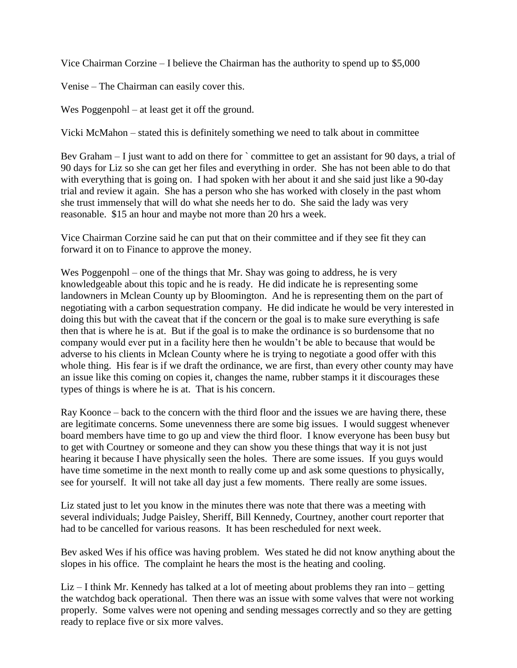Vice Chairman Corzine – I believe the Chairman has the authority to spend up to \$5,000

Venise – The Chairman can easily cover this.

Wes Poggenpohl – at least get it off the ground.

Vicki McMahon – stated this is definitely something we need to talk about in committee

Bev Graham  $-$  I just want to add on there for  $\degree$  committee to get an assistant for 90 days, a trial of 90 days for Liz so she can get her files and everything in order. She has not been able to do that with everything that is going on. I had spoken with her about it and she said just like a 90-day trial and review it again. She has a person who she has worked with closely in the past whom she trust immensely that will do what she needs her to do. She said the lady was very reasonable. \$15 an hour and maybe not more than 20 hrs a week.

Vice Chairman Corzine said he can put that on their committee and if they see fit they can forward it on to Finance to approve the money.

Wes Poggenpohl – one of the things that Mr. Shay was going to address, he is very knowledgeable about this topic and he is ready. He did indicate he is representing some landowners in Mclean County up by Bloomington. And he is representing them on the part of negotiating with a carbon sequestration company. He did indicate he would be very interested in doing this but with the caveat that if the concern or the goal is to make sure everything is safe then that is where he is at. But if the goal is to make the ordinance is so burdensome that no company would ever put in a facility here then he wouldn't be able to because that would be adverse to his clients in Mclean County where he is trying to negotiate a good offer with this whole thing. His fear is if we draft the ordinance, we are first, than every other county may have an issue like this coming on copies it, changes the name, rubber stamps it it discourages these types of things is where he is at. That is his concern.

Ray Koonce – back to the concern with the third floor and the issues we are having there, these are legitimate concerns. Some unevenness there are some big issues. I would suggest whenever board members have time to go up and view the third floor. I know everyone has been busy but to get with Courtney or someone and they can show you these things that way it is not just hearing it because I have physically seen the holes. There are some issues. If you guys would have time sometime in the next month to really come up and ask some questions to physically, see for yourself. It will not take all day just a few moments. There really are some issues.

Liz stated just to let you know in the minutes there was note that there was a meeting with several individuals; Judge Paisley, Sheriff, Bill Kennedy, Courtney, another court reporter that had to be cancelled for various reasons. It has been rescheduled for next week.

Bev asked Wes if his office was having problem. Wes stated he did not know anything about the slopes in his office. The complaint he hears the most is the heating and cooling.

Liz – I think Mr. Kennedy has talked at a lot of meeting about problems they ran into – getting the watchdog back operational. Then there was an issue with some valves that were not working properly. Some valves were not opening and sending messages correctly and so they are getting ready to replace five or six more valves.